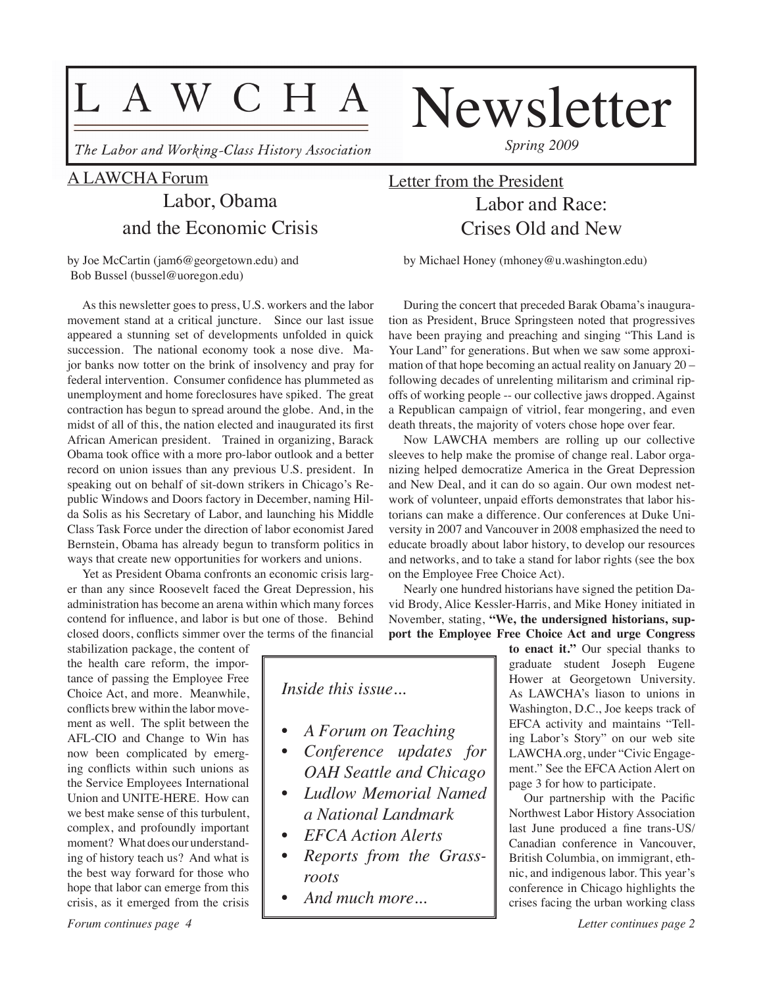# L A W C H A

The Labor and Working-Class History Association

## A LAWCHA Forum

## Labor, Obama and the Economic Crisis

by Joe McCartin (jam6@georgetown.edu) and Bob Bussel (bussel@uoregon.edu)

As this newsletter goes to press, U.S. workers and the labor movement stand at a critical juncture. Since our last issue appeared a stunning set of developments unfolded in quick succession. The national economy took a nose dive. Major banks now totter on the brink of insolvency and pray for federal intervention. Consumer confidence has plummeted as unemployment and home foreclosures have spiked. The great contraction has begun to spread around the globe. And, in the midst of all of this, the nation elected and inaugurated its first African American president. Trained in organizing, Barack Obama took office with a more pro-labor outlook and a better record on union issues than any previous U.S. president. In speaking out on behalf of sit-down strikers in Chicago's Republic Windows and Doors factory in December, naming Hilda Solis as his Secretary of Labor, and launching his Middle Class Task Force under the direction of labor economist Jared Bernstein, Obama has already begun to transform politics in ways that create new opportunities for workers and unions.

Yet as President Obama confronts an economic crisis larger than any since Roosevelt faced the Great Depression, his administration has become an arena within which many forces contend for influence, and labor is but one of those. Behind closed doors, conflicts simmer over the terms of the financial

stabilization package, the content of the health care reform, the importance of passing the Employee Free Choice Act, and more. Meanwhile, conflicts brew within the labor movement as well. The split between the AFL-CIO and Change to Win has now been complicated by emerging conflicts within such unions as the Service Employees International Union and UNITE-HERE. How can we best make sense of this turbulent, complex, and profoundly important moment? What does our understanding of history teach us? And what is the best way forward for those who hope that labor can emerge from this crisis, as it emerged from the crisis

*Spring 2009*

Newsletter

## Letter from the President Labor and Race: Crises Old and New

by Michael Honey (mhoney@u.washington.edu)

During the concert that preceded Barak Obama's inauguration as President, Bruce Springsteen noted that progressives have been praying and preaching and singing "This Land is Your Land" for generations. But when we saw some approximation of that hope becoming an actual reality on January 20 – following decades of unrelenting militarism and criminal ripoffs of working people -- our collective jaws dropped. Against a Republican campaign of vitriol, fear mongering, and even death threats, the majority of voters chose hope over fear.

Now LAWCHA members are rolling up our collective sleeves to help make the promise of change real. Labor organizing helped democratize America in the Great Depression and New Deal, and it can do so again. Our own modest network of volunteer, unpaid efforts demonstrates that labor historians can make a difference. Our conferences at Duke University in 2007 and Vancouver in 2008 emphasized the need to educate broadly about labor history, to develop our resources and networks, and to take a stand for labor rights (see the box on the Employee Free Choice Act).

Nearly one hundred historians have signed the petition David Brody, Alice Kessler-Harris, and Mike Honey initiated in November, stating, **"We, the undersigned historians, support the Employee Free Choice Act and urge Congress** 

*Inside this issue...*

- *• A Forum on Teaching*
- *• Conference updates for OAH Seattle and Chicago*
- *Ludlow Memorial Named a National Landmark*
- *• EFCA Action Alerts*
- *• Reports from the Grassroots*
- *• And much more...*

**to enact it."** Our special thanks to graduate student Joseph Eugene Hower at Georgetown University. As LAWCHA's liason to unions in Washington, D.C., Joe keeps track of EFCA activity and maintains "Telling Labor's Story" on our web site LAWCHA.org, under "Civic Engagement." See the EFCA Action Alert on page 3 for how to participate.

Our partnership with the Pacific Northwest Labor History Association last June produced a fine trans-US/ Canadian conference in Vancouver, British Columbia, on immigrant, ethnic, and indigenous labor. This year's conference in Chicago highlights the crises facing the urban working class

*Forum continues page 4*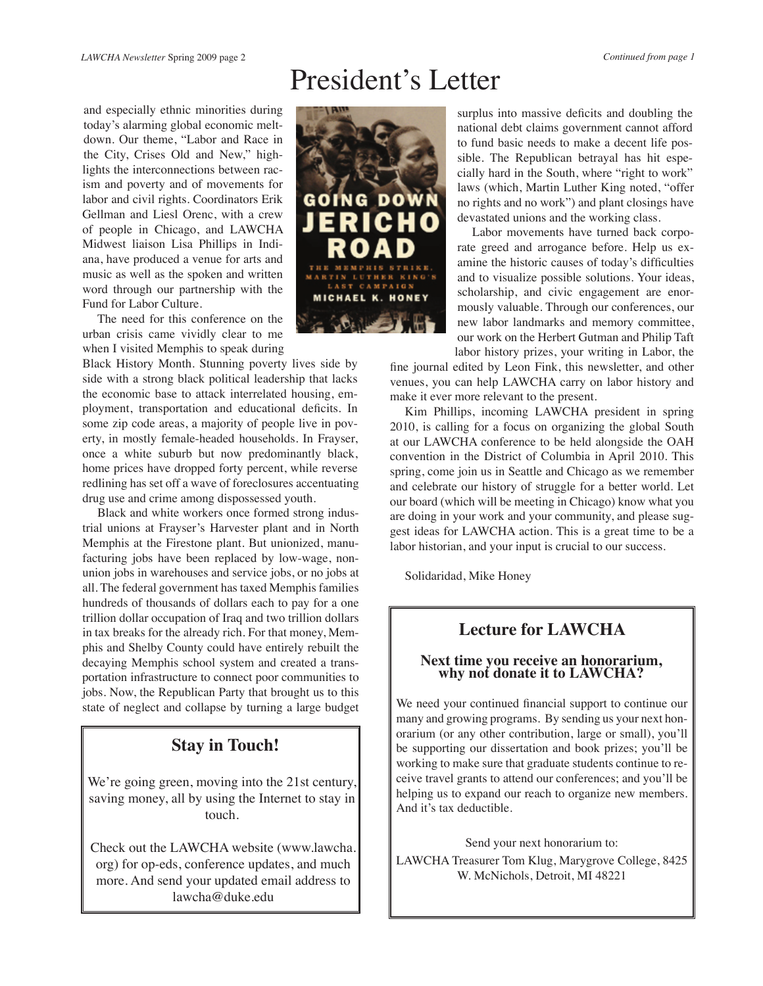# President's Letter

and especially ethnic minorities during today's alarming global economic meltdown. Our theme, "Labor and Race in the City, Crises Old and New," highlights the interconnections between racism and poverty and of movements for labor and civil rights. Coordinators Erik Gellman and Liesl Orenc, with a crew of people in Chicago, and LAWCHA Midwest liaison Lisa Phillips in Indiana, have produced a venue for arts and music as well as the spoken and written word through our partnership with the Fund for Labor Culture.

The need for this conference on the urban crisis came vividly clear to me when I visited Memphis to speak during

Black History Month. Stunning poverty lives side by side with a strong black political leadership that lacks the economic base to attack interrelated housing, employment, transportation and educational deficits. In some zip code areas, a majority of people live in poverty, in mostly female-headed households. In Frayser, once a white suburb but now predominantly black, home prices have dropped forty percent, while reverse redlining has set off a wave of foreclosures accentuating drug use and crime among dispossessed youth.

Black and white workers once formed strong industrial unions at Frayser's Harvester plant and in North Memphis at the Firestone plant. But unionized, manufacturing jobs have been replaced by low-wage, nonunion jobs in warehouses and service jobs, or no jobs at all. The federal government has taxed Memphis families hundreds of thousands of dollars each to pay for a one trillion dollar occupation of Iraq and two trillion dollars in tax breaks for the already rich. For that money, Memphis and Shelby County could have entirely rebuilt the decaying Memphis school system and created a transportation infrastructure to connect poor communities to jobs. Now, the Republican Party that brought us to this state of neglect and collapse by turning a large budget

## **Stay in Touch!**

We're going green, moving into the 21st century, saving money, all by using the Internet to stay in touch.

Check out the LAWCHA website (www.lawcha. org) for op-eds, conference updates, and much more. And send your updated email address to lawcha@duke.edu



surplus into massive deficits and doubling the national debt claims government cannot afford to fund basic needs to make a decent life possible. The Republican betrayal has hit especially hard in the South, where "right to work" laws (which, Martin Luther King noted, "offer no rights and no work") and plant closings have devastated unions and the working class.

Labor movements have turned back corporate greed and arrogance before. Help us examine the historic causes of today's difficulties and to visualize possible solutions. Your ideas, scholarship, and civic engagement are enormously valuable. Through our conferences, our new labor landmarks and memory committee, our work on the Herbert Gutman and Philip Taft labor history prizes, your writing in Labor, the

fine journal edited by Leon Fink, this newsletter, and other venues, you can help LAWCHA carry on labor history and make it ever more relevant to the present.

Kim Phillips, incoming LAWCHA president in spring 2010, is calling for a focus on organizing the global South at our LAWCHA conference to be held alongside the OAH convention in the District of Columbia in April 2010. This spring, come join us in Seattle and Chicago as we remember and celebrate our history of struggle for a better world. Let our board (which will be meeting in Chicago) know what you are doing in your work and your community, and please suggest ideas for LAWCHA action. This is a great time to be a labor historian, and your input is crucial to our success.

Solidaridad, Mike Honey

## **Lecture for LAWCHA**

# **Next time you receive an honorarium, why not donate it to LAWCHA?**

We need your continued financial support to continue our many and growing programs. By sending us your next honorarium (or any other contribution, large or small), you'll be supporting our dissertation and book prizes; you'll be working to make sure that graduate students continue to receive travel grants to attend our conferences; and you'll be helping us to expand our reach to organize new members. And it's tax deductible.

Send your next honorarium to:

LAWCHA Treasurer Tom Klug, Marygrove College, 8425 W. McNichols, Detroit, MI 48221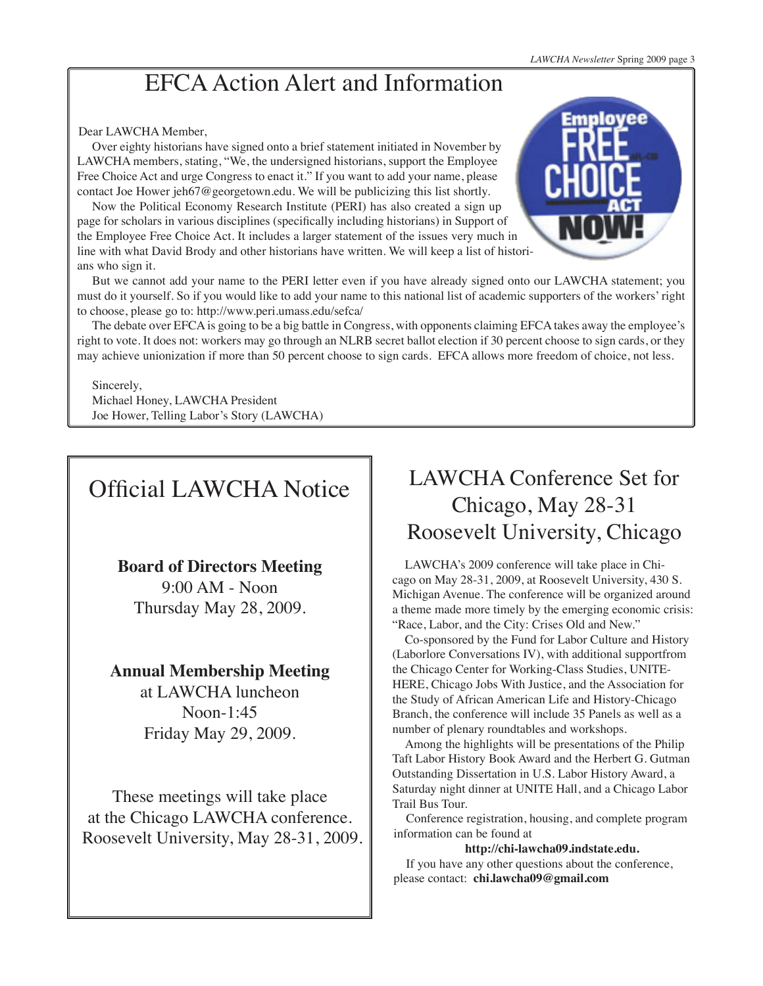# EFCA Action Alert and Information

### Dear LAWCHA Member,

Over eighty historians have signed onto a brief statement initiated in November by LAWCHA members, stating, "We, the undersigned historians, support the Employee Free Choice Act and urge Congress to enact it." If you want to add your name, please contact Joe Hower jeh67@georgetown.edu. We will be publicizing this list shortly.

Now the Political Economy Research Institute (PERI) has also created a sign up page for scholars in various disciplines (specifically including historians) in Support of the Employee Free Choice Act. It includes a larger statement of the issues very much in line with what David Brody and other historians have written. We will keep a list of historians who sign it.



But we cannot add your name to the PERI letter even if you have already signed onto our LAWCHA statement; you must do it yourself. So if you would like to add your name to this national list of academic supporters of the workers' right to choose, please go to: http://www.peri.umass.edu/sefca/

The debate over EFCA is going to be a big battle in Congress, with opponents claiming EFCA takes away the employee's right to vote. It does not: workers may go through an NLRB secret ballot election if 30 percent choose to sign cards, or they may achieve unionization if more than 50 percent choose to sign cards. EFCA allows more freedom of choice, not less.

### Sincerely,

Michael Honey, LAWCHA President Joe Hower, Telling Labor's Story (LAWCHA)

# Official LAWCHA Notice

## **Board of Directors Meeting**

9:00 AM - Noon Thursday May 28, 2009.

## **Annual Membership Meeting**

at LAWCHA luncheon Noon-1:45 Friday May 29, 2009.

These meetings will take place at the Chicago LAWCHA conference. Roosevelt University, May 28-31, 2009.

# LAWCHA Conference Set for Chicago, May 28-31 Roosevelt University, Chicago

LAWCHA's 2009 conference will take place in Chicago on May 28-31, 2009, at Roosevelt University, 430 S. Michigan Avenue. The conference will be organized around a theme made more timely by the emerging economic crisis: "Race, Labor, and the City: Crises Old and New."

Co-sponsored by the Fund for Labor Culture and History (Laborlore Conversations IV), with additional supportfrom the Chicago Center for Working-Class Studies, UNITE-HERE, Chicago Jobs With Justice, and the Association for the Study of African American Life and History-Chicago Branch, the conference will include 35 Panels as well as a number of plenary roundtables and workshops.

Among the highlights will be presentations of the Philip Taft Labor History Book Award and the Herbert G. Gutman Outstanding Dissertation in U.S. Labor History Award, a Saturday night dinner at UNITE Hall, and a Chicago Labor Trail Bus Tour.

Conference registration, housing, and complete program information can be found at

#### **http://chi-lawcha09.indstate.edu.**

If you have any other questions about the conference, please contact: **chi.lawcha09@gmail.com**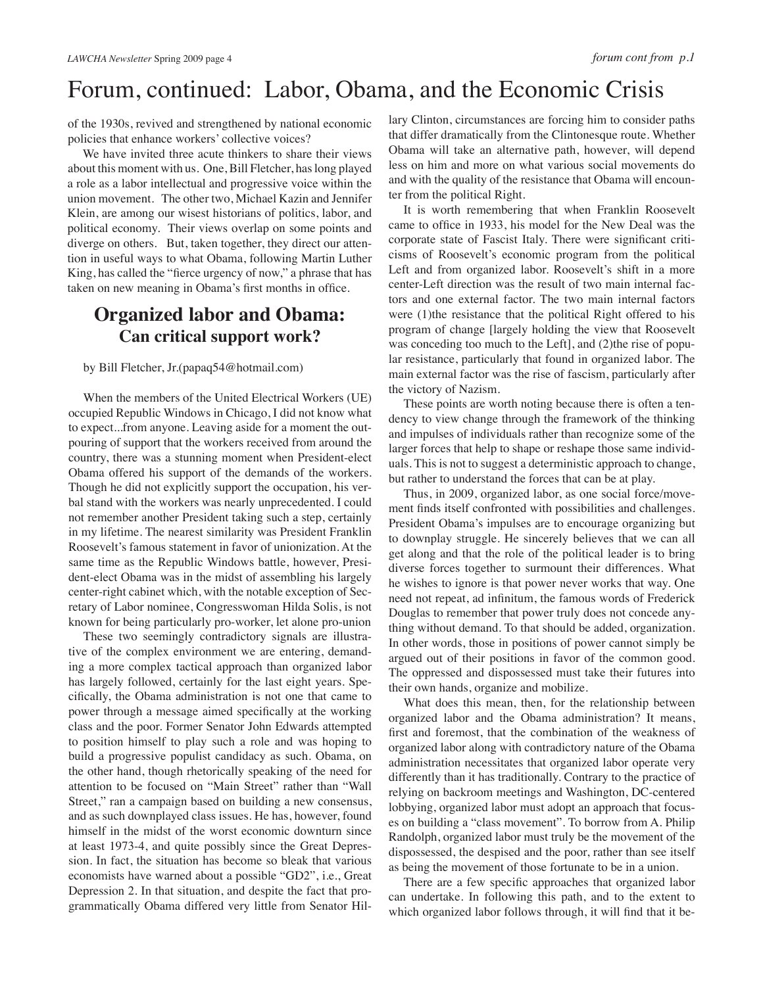# Forum, continued: Labor, Obama, and the Economic Crisis

of the 1930s, revived and strengthened by national economic policies that enhance workers' collective voices?

We have invited three acute thinkers to share their views about this moment with us. One, Bill Fletcher, has long played a role as a labor intellectual and progressive voice within the union movement. The other two, Michael Kazin and Jennifer Klein, are among our wisest historians of politics, labor, and political economy. Their views overlap on some points and diverge on others. But, taken together, they direct our attention in useful ways to what Obama, following Martin Luther King, has called the "fierce urgency of now," a phrase that has taken on new meaning in Obama's first months in office.

## **Organized labor and Obama: Can critical support work?**

by Bill Fletcher, Jr.(papaq54@hotmail.com)

When the members of the United Electrical Workers (UE) occupied Republic Windows in Chicago, I did not know what to expect...from anyone. Leaving aside for a moment the outpouring of support that the workers received from around the country, there was a stunning moment when President-elect Obama offered his support of the demands of the workers. Though he did not explicitly support the occupation, his verbal stand with the workers was nearly unprecedented. I could not remember another President taking such a step, certainly in my lifetime. The nearest similarity was President Franklin Roosevelt's famous statement in favor of unionization. At the same time as the Republic Windows battle, however, President-elect Obama was in the midst of assembling his largely center-right cabinet which, with the notable exception of Secretary of Labor nominee, Congresswoman Hilda Solis, is not known for being particularly pro-worker, let alone pro-union

These two seemingly contradictory signals are illustrative of the complex environment we are entering, demanding a more complex tactical approach than organized labor has largely followed, certainly for the last eight years. Specifically, the Obama administration is not one that came to power through a message aimed specifically at the working class and the poor. Former Senator John Edwards attempted to position himself to play such a role and was hoping to build a progressive populist candidacy as such. Obama, on the other hand, though rhetorically speaking of the need for attention to be focused on "Main Street" rather than "Wall Street," ran a campaign based on building a new consensus, and as such downplayed class issues. He has, however, found himself in the midst of the worst economic downturn since at least 1973-4, and quite possibly since the Great Depression. In fact, the situation has become so bleak that various economists have warned about a possible "GD2", i.e., Great Depression 2. In that situation, and despite the fact that programmatically Obama differed very little from Senator Hil-

lary Clinton, circumstances are forcing him to consider paths that differ dramatically from the Clintonesque route. Whether Obama will take an alternative path, however, will depend less on him and more on what various social movements do and with the quality of the resistance that Obama will encounter from the political Right.

It is worth remembering that when Franklin Roosevelt came to office in 1933, his model for the New Deal was the corporate state of Fascist Italy. There were significant criticisms of Roosevelt's economic program from the political Left and from organized labor. Roosevelt's shift in a more center-Left direction was the result of two main internal factors and one external factor. The two main internal factors were (1)the resistance that the political Right offered to his program of change [largely holding the view that Roosevelt was conceding too much to the Left, and  $(2)$ the rise of popular resistance, particularly that found in organized labor. The main external factor was the rise of fascism, particularly after the victory of Nazism.

These points are worth noting because there is often a tendency to view change through the framework of the thinking and impulses of individuals rather than recognize some of the larger forces that help to shape or reshape those same individuals. This is not to suggest a deterministic approach to change, but rather to understand the forces that can be at play.

Thus, in 2009, organized labor, as one social force/movement finds itself confronted with possibilities and challenges. President Obama's impulses are to encourage organizing but to downplay struggle. He sincerely believes that we can all get along and that the role of the political leader is to bring diverse forces together to surmount their differences. What he wishes to ignore is that power never works that way. One need not repeat, ad infinitum, the famous words of Frederick Douglas to remember that power truly does not concede anything without demand. To that should be added, organization. In other words, those in positions of power cannot simply be argued out of their positions in favor of the common good. The oppressed and dispossessed must take their futures into their own hands, organize and mobilize.

What does this mean, then, for the relationship between organized labor and the Obama administration? It means, first and foremost, that the combination of the weakness of organized labor along with contradictory nature of the Obama administration necessitates that organized labor operate very differently than it has traditionally. Contrary to the practice of relying on backroom meetings and Washington, DC-centered lobbying, organized labor must adopt an approach that focuses on building a "class movement". To borrow from A. Philip Randolph, organized labor must truly be the movement of the dispossessed, the despised and the poor, rather than see itself as being the movement of those fortunate to be in a union.

There are a few specific approaches that organized labor can undertake. In following this path, and to the extent to which organized labor follows through, it will find that it be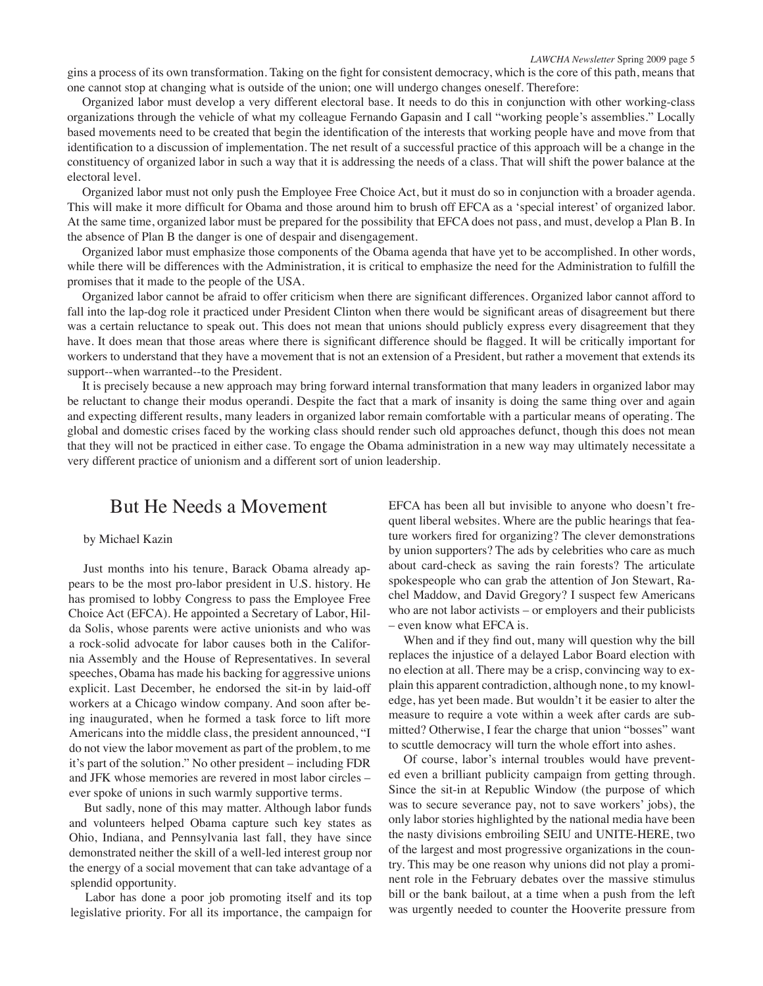gins a process of its own transformation. Taking on the fight for consistent democracy, which is the core of this path, means that one cannot stop at changing what is outside of the union; one will undergo changes oneself. Therefore:

Organized labor must develop a very different electoral base. It needs to do this in conjunction with other working-class organizations through the vehicle of what my colleague Fernando Gapasin and I call "working people's assemblies." Locally based movements need to be created that begin the identification of the interests that working people have and move from that identification to a discussion of implementation. The net result of a successful practice of this approach will be a change in the constituency of organized labor in such a way that it is addressing the needs of a class. That will shift the power balance at the electoral level.

Organized labor must not only push the Employee Free Choice Act, but it must do so in conjunction with a broader agenda. This will make it more difficult for Obama and those around him to brush off EFCA as a 'special interest' of organized labor. At the same time, organized labor must be prepared for the possibility that EFCA does not pass, and must, develop a Plan B. In the absence of Plan B the danger is one of despair and disengagement.

Organized labor must emphasize those components of the Obama agenda that have yet to be accomplished. In other words, while there will be differences with the Administration, it is critical to emphasize the need for the Administration to fulfill the promises that it made to the people of the USA.

Organized labor cannot be afraid to offer criticism when there are significant differences. Organized labor cannot afford to fall into the lap-dog role it practiced under President Clinton when there would be significant areas of disagreement but there was a certain reluctance to speak out. This does not mean that unions should publicly express every disagreement that they have. It does mean that those areas where there is significant difference should be flagged. It will be critically important for workers to understand that they have a movement that is not an extension of a President, but rather a movement that extends its support--when warranted--to the President.

It is precisely because a new approach may bring forward internal transformation that many leaders in organized labor may be reluctant to change their modus operandi. Despite the fact that a mark of insanity is doing the same thing over and again and expecting different results, many leaders in organized labor remain comfortable with a particular means of operating. The global and domestic crises faced by the working class should render such old approaches defunct, though this does not mean that they will not be practiced in either case. To engage the Obama administration in a new way may ultimately necessitate a very different practice of unionism and a different sort of union leadership.

## But He Needs a Movement

#### by Michael Kazin

Just months into his tenure, Barack Obama already appears to be the most pro-labor president in U.S. history. He has promised to lobby Congress to pass the Employee Free Choice Act (EFCA). He appointed a Secretary of Labor, Hilda Solis, whose parents were active unionists and who was a rock-solid advocate for labor causes both in the California Assembly and the House of Representatives. In several speeches, Obama has made his backing for aggressive unions explicit. Last December, he endorsed the sit-in by laid-off workers at a Chicago window company. And soon after being inaugurated, when he formed a task force to lift more Americans into the middle class, the president announced, "I do not view the labor movement as part of the problem, to me it's part of the solution." No other president – including FDR and JFK whose memories are revered in most labor circles – ever spoke of unions in such warmly supportive terms.

But sadly, none of this may matter. Although labor funds and volunteers helped Obama capture such key states as Ohio, Indiana, and Pennsylvania last fall, they have since demonstrated neither the skill of a well-led interest group nor the energy of a social movement that can take advantage of a splendid opportunity.

Labor has done a poor job promoting itself and its top legislative priority. For all its importance, the campaign for

EFCA has been all but invisible to anyone who doesn't frequent liberal websites. Where are the public hearings that feature workers fired for organizing? The clever demonstrations by union supporters? The ads by celebrities who care as much about card-check as saving the rain forests? The articulate spokespeople who can grab the attention of Jon Stewart, Rachel Maddow, and David Gregory? I suspect few Americans who are not labor activists – or employers and their publicists – even know what EFCA is.

When and if they find out, many will question why the bill replaces the injustice of a delayed Labor Board election with no election at all. There may be a crisp, convincing way to explain this apparent contradiction, although none, to my knowledge, has yet been made. But wouldn't it be easier to alter the measure to require a vote within a week after cards are submitted? Otherwise, I fear the charge that union "bosses" want to scuttle democracy will turn the whole effort into ashes.

Of course, labor's internal troubles would have prevented even a brilliant publicity campaign from getting through. Since the sit-in at Republic Window (the purpose of which was to secure severance pay, not to save workers' jobs), the only labor stories highlighted by the national media have been the nasty divisions embroiling SEIU and UNITE-HERE, two of the largest and most progressive organizations in the country. This may be one reason why unions did not play a prominent role in the February debates over the massive stimulus bill or the bank bailout, at a time when a push from the left was urgently needed to counter the Hooverite pressure from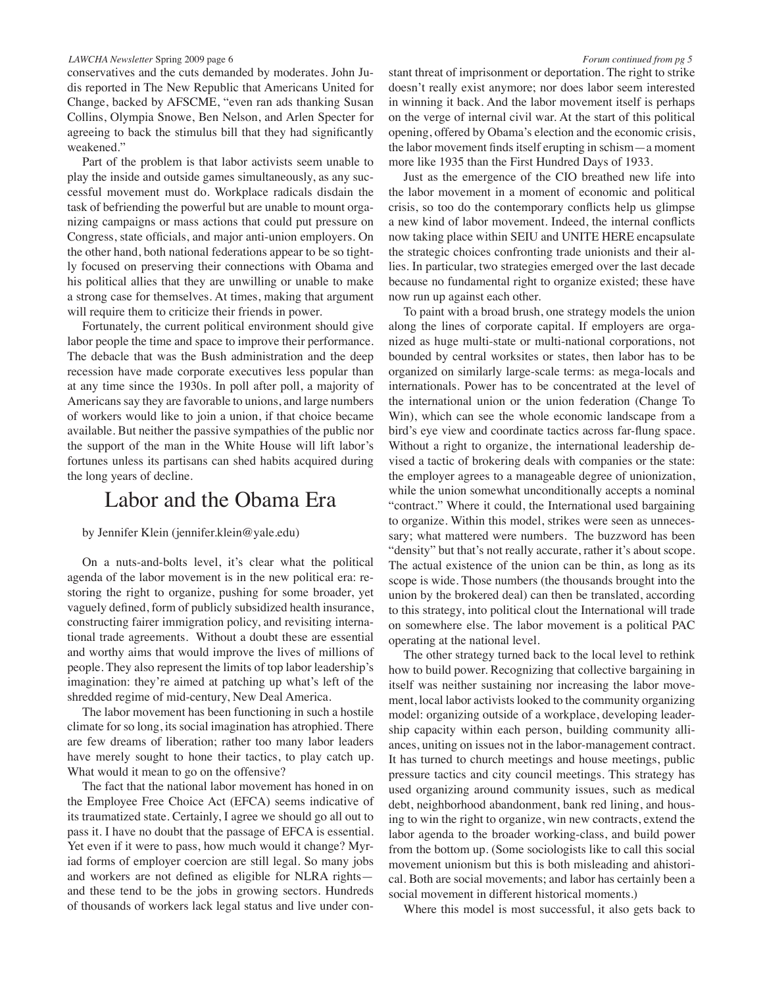#### *LAWCHA Newsletter* Spring 2009 page 6

conservatives and the cuts demanded by moderates. John Judis reported in The New Republic that Americans United for Change, backed by AFSCME, "even ran ads thanking Susan Collins, Olympia Snowe, Ben Nelson, and Arlen Specter for agreeing to back the stimulus bill that they had significantly weakened."

Part of the problem is that labor activists seem unable to play the inside and outside games simultaneously, as any successful movement must do. Workplace radicals disdain the task of befriending the powerful but are unable to mount organizing campaigns or mass actions that could put pressure on Congress, state officials, and major anti-union employers. On the other hand, both national federations appear to be so tightly focused on preserving their connections with Obama and his political allies that they are unwilling or unable to make a strong case for themselves. At times, making that argument will require them to criticize their friends in power.

Fortunately, the current political environment should give labor people the time and space to improve their performance. The debacle that was the Bush administration and the deep recession have made corporate executives less popular than at any time since the 1930s. In poll after poll, a majority of Americans say they are favorable to unions, and large numbers of workers would like to join a union, if that choice became available. But neither the passive sympathies of the public nor the support of the man in the White House will lift labor's fortunes unless its partisans can shed habits acquired during the long years of decline.

## Labor and the Obama Era

#### by Jennifer Klein (jennifer.klein@yale.edu)

On a nuts-and-bolts level, it's clear what the political agenda of the labor movement is in the new political era: restoring the right to organize, pushing for some broader, yet vaguely defined, form of publicly subsidized health insurance, constructing fairer immigration policy, and revisiting international trade agreements. Without a doubt these are essential and worthy aims that would improve the lives of millions of people. They also represent the limits of top labor leadership's imagination: they're aimed at patching up what's left of the shredded regime of mid-century, New Deal America.

The labor movement has been functioning in such a hostile climate for so long, its social imagination has atrophied. There are few dreams of liberation; rather too many labor leaders have merely sought to hone their tactics, to play catch up. What would it mean to go on the offensive?

The fact that the national labor movement has honed in on the Employee Free Choice Act (EFCA) seems indicative of its traumatized state. Certainly, I agree we should go all out to pass it. I have no doubt that the passage of EFCA is essential. Yet even if it were to pass, how much would it change? Myriad forms of employer coercion are still legal. So many jobs and workers are not defined as eligible for NLRA rights and these tend to be the jobs in growing sectors. Hundreds of thousands of workers lack legal status and live under con-

stant threat of imprisonment or deportation. The right to strike doesn't really exist anymore; nor does labor seem interested in winning it back. And the labor movement itself is perhaps on the verge of internal civil war. At the start of this political opening, offered by Obama's election and the economic crisis, the labor movement finds itself erupting in schism—a moment more like 1935 than the First Hundred Days of 1933.

Just as the emergence of the CIO breathed new life into the labor movement in a moment of economic and political crisis, so too do the contemporary conflicts help us glimpse a new kind of labor movement. Indeed, the internal conflicts now taking place within SEIU and UNITE HERE encapsulate the strategic choices confronting trade unionists and their allies. In particular, two strategies emerged over the last decade because no fundamental right to organize existed; these have now run up against each other.

To paint with a broad brush, one strategy models the union along the lines of corporate capital. If employers are organized as huge multi-state or multi-national corporations, not bounded by central worksites or states, then labor has to be organized on similarly large-scale terms: as mega-locals and internationals. Power has to be concentrated at the level of the international union or the union federation (Change To Win), which can see the whole economic landscape from a bird's eye view and coordinate tactics across far-flung space. Without a right to organize, the international leadership devised a tactic of brokering deals with companies or the state: the employer agrees to a manageable degree of unionization, while the union somewhat unconditionally accepts a nominal "contract." Where it could, the International used bargaining to organize. Within this model, strikes were seen as unnecessary; what mattered were numbers. The buzzword has been "density" but that's not really accurate, rather it's about scope. The actual existence of the union can be thin, as long as its scope is wide. Those numbers (the thousands brought into the union by the brokered deal) can then be translated, according to this strategy, into political clout the International will trade on somewhere else. The labor movement is a political PAC operating at the national level.

The other strategy turned back to the local level to rethink how to build power. Recognizing that collective bargaining in itself was neither sustaining nor increasing the labor movement, local labor activists looked to the community organizing model: organizing outside of a workplace, developing leadership capacity within each person, building community alliances, uniting on issues not in the labor-management contract. It has turned to church meetings and house meetings, public pressure tactics and city council meetings. This strategy has used organizing around community issues, such as medical debt, neighborhood abandonment, bank red lining, and housing to win the right to organize, win new contracts, extend the labor agenda to the broader working-class, and build power from the bottom up. (Some sociologists like to call this social movement unionism but this is both misleading and ahistorical. Both are social movements; and labor has certainly been a social movement in different historical moments.)

Where this model is most successful, it also gets back to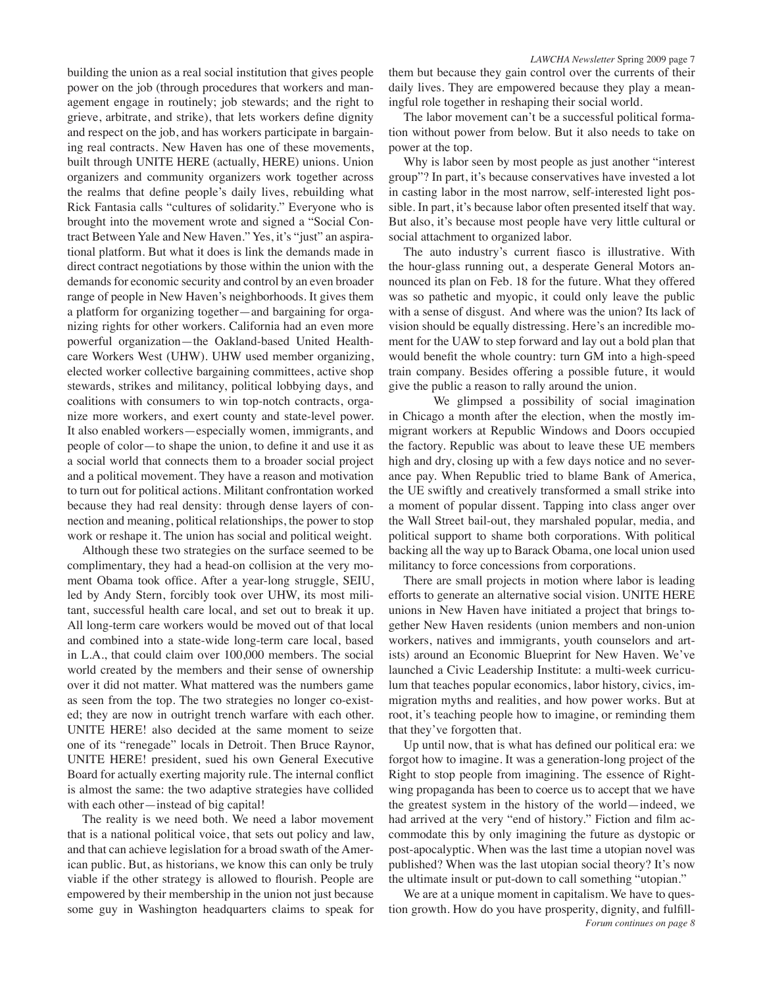building the union as a real social institution that gives people power on the job (through procedures that workers and management engage in routinely; job stewards; and the right to grieve, arbitrate, and strike), that lets workers define dignity and respect on the job, and has workers participate in bargaining real contracts. New Haven has one of these movements, built through UNITE HERE (actually, HERE) unions. Union organizers and community organizers work together across the realms that define people's daily lives, rebuilding what Rick Fantasia calls "cultures of solidarity." Everyone who is brought into the movement wrote and signed a "Social Contract Between Yale and New Haven." Yes, it's "just" an aspirational platform. But what it does is link the demands made in direct contract negotiations by those within the union with the demands for economic security and control by an even broader range of people in New Haven's neighborhoods. It gives them a platform for organizing together—and bargaining for organizing rights for other workers. California had an even more powerful organization—the Oakland-based United Healthcare Workers West (UHW). UHW used member organizing, elected worker collective bargaining committees, active shop stewards, strikes and militancy, political lobbying days, and coalitions with consumers to win top-notch contracts, organize more workers, and exert county and state-level power. It also enabled workers—especially women, immigrants, and people of color—to shape the union, to define it and use it as a social world that connects them to a broader social project and a political movement. They have a reason and motivation to turn out for political actions. Militant confrontation worked because they had real density: through dense layers of connection and meaning, political relationships, the power to stop work or reshape it. The union has social and political weight.

Although these two strategies on the surface seemed to be complimentary, they had a head-on collision at the very moment Obama took office. After a year-long struggle, SEIU, led by Andy Stern, forcibly took over UHW, its most militant, successful health care local, and set out to break it up. All long-term care workers would be moved out of that local and combined into a state-wide long-term care local, based in L.A., that could claim over 100,000 members. The social world created by the members and their sense of ownership over it did not matter. What mattered was the numbers game as seen from the top. The two strategies no longer co-existed; they are now in outright trench warfare with each other. UNITE HERE! also decided at the same moment to seize one of its "renegade" locals in Detroit. Then Bruce Raynor, UNITE HERE! president, sued his own General Executive Board for actually exerting majority rule. The internal conflict is almost the same: the two adaptive strategies have collided with each other—instead of big capital!

The reality is we need both. We need a labor movement that is a national political voice, that sets out policy and law, and that can achieve legislation for a broad swath of the American public. But, as historians, we know this can only be truly viable if the other strategy is allowed to flourish. People are empowered by their membership in the union not just because some guy in Washington headquarters claims to speak for

*LAWCHA Newsletter* Spring 2009 page 7 them but because they gain control over the currents of their daily lives. They are empowered because they play a meaningful role together in reshaping their social world.

The labor movement can't be a successful political formation without power from below. But it also needs to take on power at the top.

Why is labor seen by most people as just another "interest group"? In part, it's because conservatives have invested a lot in casting labor in the most narrow, self-interested light possible. In part, it's because labor often presented itself that way. But also, it's because most people have very little cultural or social attachment to organized labor.

The auto industry's current fiasco is illustrative. With the hour-glass running out, a desperate General Motors announced its plan on Feb. 18 for the future. What they offered was so pathetic and myopic, it could only leave the public with a sense of disgust. And where was the union? Its lack of vision should be equally distressing. Here's an incredible moment for the UAW to step forward and lay out a bold plan that would benefit the whole country: turn GM into a high-speed train company. Besides offering a possible future, it would give the public a reason to rally around the union.

We glimpsed a possibility of social imagination in Chicago a month after the election, when the mostly immigrant workers at Republic Windows and Doors occupied the factory. Republic was about to leave these UE members high and dry, closing up with a few days notice and no severance pay. When Republic tried to blame Bank of America, the UE swiftly and creatively transformed a small strike into a moment of popular dissent. Tapping into class anger over the Wall Street bail-out, they marshaled popular, media, and political support to shame both corporations. With political backing all the way up to Barack Obama, one local union used militancy to force concessions from corporations.

There are small projects in motion where labor is leading efforts to generate an alternative social vision. UNITE HERE unions in New Haven have initiated a project that brings together New Haven residents (union members and non-union workers, natives and immigrants, youth counselors and artists) around an Economic Blueprint for New Haven. We've launched a Civic Leadership Institute: a multi-week curriculum that teaches popular economics, labor history, civics, immigration myths and realities, and how power works. But at root, it's teaching people how to imagine, or reminding them that they've forgotten that.

Up until now, that is what has defined our political era: we forgot how to imagine. It was a generation-long project of the Right to stop people from imagining. The essence of Rightwing propaganda has been to coerce us to accept that we have the greatest system in the history of the world—indeed, we had arrived at the very "end of history." Fiction and film accommodate this by only imagining the future as dystopic or post-apocalyptic. When was the last time a utopian novel was published? When was the last utopian social theory? It's now the ultimate insult or put-down to call something "utopian."

*Forum continues on page 8* We are at a unique moment in capitalism. We have to question growth. How do you have prosperity, dignity, and fulfill-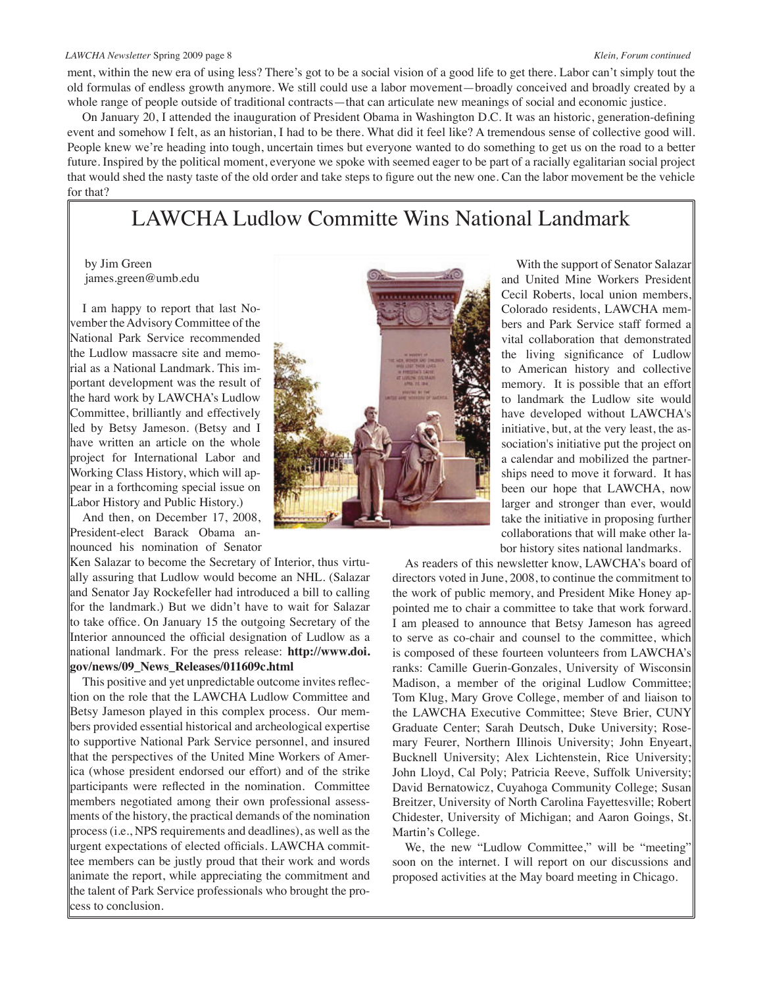#### *LAWCHA Newsletter* Spring 2009 page 8 *Klein, Forum continued*

ment, within the new era of using less? There's got to be a social vision of a good life to get there. Labor can't simply tout the old formulas of endless growth anymore. We still could use a labor movement—broadly conceived and broadly created by a whole range of people outside of traditional contracts—that can articulate new meanings of social and economic justice.

On January 20, I attended the inauguration of President Obama in Washington D.C. It was an historic, generation-defining event and somehow I felt, as an historian, I had to be there. What did it feel like? A tremendous sense of collective good will. People knew we're heading into tough, uncertain times but everyone wanted to do something to get us on the road to a better future. Inspired by the political moment, everyone we spoke with seemed eager to be part of a racially egalitarian social project that would shed the nasty taste of the old order and take steps to figure out the new one. Can the labor movement be the vehicle for that?

## LAWCHA Ludlow Committe Wins National Landmark

by Jim Green james.green@umb.edu

I am happy to report that last November the Advisory Committee of the National Park Service recommended the Ludlow massacre site and memorial as a National Landmark. This important development was the result of the hard work by LAWCHA's Ludlow Committee, brilliantly and effectively led by Betsy Jameson. (Betsy and I have written an article on the whole project for International Labor and Working Class History, which will appear in a forthcoming special issue on Labor History and Public History.)

And then, on December 17, 2008, President-elect Barack Obama announced his nomination of Senator

Ken Salazar to become the Secretary of Interior, thus virtually assuring that Ludlow would become an NHL. (Salazar and Senator Jay Rockefeller had introduced a bill to calling for the landmark.) But we didn't have to wait for Salazar to take office. On January 15 the outgoing Secretary of the Interior announced the official designation of Ludlow as a national landmark. For the press release: **http://www.doi. gov/news/09\_News\_Releases/011609c.html** 

This positive and yet unpredictable outcome invites reflection on the role that the LAWCHA Ludlow Committee and Betsy Jameson played in this complex process. Our members provided essential historical and archeological expertise to supportive National Park Service personnel, and insured that the perspectives of the United Mine Workers of America (whose president endorsed our effort) and of the strike participants were reflected in the nomination. Committee members negotiated among their own professional assessments of the history, the practical demands of the nomination process (i.e., NPS requirements and deadlines), as well as the urgent expectations of elected officials. LAWCHA committee members can be justly proud that their work and words animate the report, while appreciating the commitment and the talent of Park Service professionals who brought the process to conclusion.



 With the support of Senator Salazar and United Mine Workers President Cecil Roberts, local union members, Colorado residents, LAWCHA members and Park Service staff formed a vital collaboration that demonstrated the living significance of Ludlow to American history and collective memory. It is possible that an effort to landmark the Ludlow site would have developed without LAWCHA's initiative, but, at the very least, the association's initiative put the project on a calendar and mobilized the partnerships need to move it forward. It has been our hope that LAWCHA, now larger and stronger than ever, would take the initiative in proposing further collaborations that will make other labor history sites national landmarks.

As readers of this newsletter know, LAWCHA's board of directors voted in June, 2008, to continue the commitment to the work of public memory, and President Mike Honey appointed me to chair a committee to take that work forward. I am pleased to announce that Betsy Jameson has agreed to serve as co-chair and counsel to the committee, which is composed of these fourteen volunteers from LAWCHA's ranks: Camille Guerin-Gonzales, University of Wisconsin Madison, a member of the original Ludlow Committee; Tom Klug, Mary Grove College, member of and liaison to the LAWCHA Executive Committee; Steve Brier, CUNY Graduate Center; Sarah Deutsch, Duke University; Rosemary Feurer, Northern Illinois University; John Enyeart, Bucknell University; Alex Lichtenstein, Rice University; John Lloyd, Cal Poly; Patricia Reeve, Suffolk University; David Bernatowicz, Cuyahoga Community College; Susan Breitzer, University of North Carolina Fayettesville; Robert Chidester, University of Michigan; and Aaron Goings, St. Martin's College.

We, the new "Ludlow Committee," will be "meeting" soon on the internet. I will report on our discussions and proposed activities at the May board meeting in Chicago.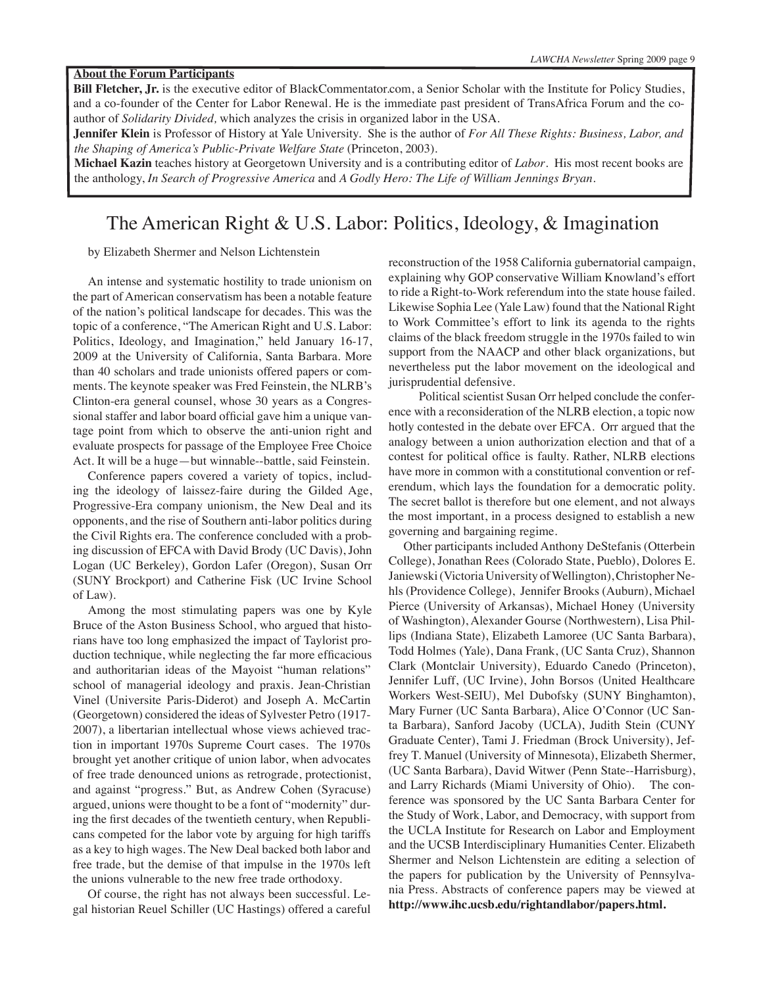**Bill Fletcher, Jr.** is the executive editor of BlackCommentator.com, a Senior Scholar with the Institute for Policy Studies, and a co-founder of the Center for Labor Renewal. He is the immediate past president of TransAfrica Forum and the coauthor of *Solidarity Divided,* which analyzes the crisis in organized labor in the USA.

**Jennifer Klein** is Professor of History at Yale University. She is the author of *For All These Rights: Business, Labor, and the Shaping of America's Public-Private Welfare State* (Princeton, 2003).

**Michael Kazin** teaches history at Georgetown University and is a contributing editor of *Labor*. His most recent books are the anthology, *In Search of Progressive America* and *A Godly Hero: The Life of William Jennings Bryan*.

## The American Right & U.S. Labor: Politics, Ideology, & Imagination

by Elizabeth Shermer and Nelson Lichtenstein

An intense and systematic hostility to trade unionism on the part of American conservatism has been a notable feature of the nation's political landscape for decades. This was the topic of a conference, "The American Right and U.S. Labor: Politics, Ideology, and Imagination," held January 16-17, 2009 at the University of California, Santa Barbara. More than 40 scholars and trade unionists offered papers or comments. The keynote speaker was Fred Feinstein, the NLRB's Clinton-era general counsel, whose 30 years as a Congressional staffer and labor board official gave him a unique vantage point from which to observe the anti-union right and evaluate prospects for passage of the Employee Free Choice Act. It will be a huge—but winnable--battle, said Feinstein.

Conference papers covered a variety of topics, including the ideology of laissez-faire during the Gilded Age, Progressive-Era company unionism, the New Deal and its opponents, and the rise of Southern anti-labor politics during the Civil Rights era. The conference concluded with a probing discussion of EFCA with David Brody (UC Davis), John Logan (UC Berkeley), Gordon Lafer (Oregon), Susan Orr (SUNY Brockport) and Catherine Fisk (UC Irvine School of Law).

Among the most stimulating papers was one by Kyle Bruce of the Aston Business School, who argued that historians have too long emphasized the impact of Taylorist production technique, while neglecting the far more efficacious and authoritarian ideas of the Mayoist "human relations" school of managerial ideology and praxis. Jean-Christian Vinel (Universite Paris-Diderot) and Joseph A. McCartin (Georgetown) considered the ideas of Sylvester Petro (1917- 2007), a libertarian intellectual whose views achieved traction in important 1970s Supreme Court cases. The 1970s brought yet another critique of union labor, when advocates of free trade denounced unions as retrograde, protectionist, and against "progress." But, as Andrew Cohen (Syracuse) argued, unions were thought to be a font of "modernity" during the first decades of the twentieth century, when Republicans competed for the labor vote by arguing for high tariffs as a key to high wages. The New Deal backed both labor and free trade, but the demise of that impulse in the 1970s left the unions vulnerable to the new free trade orthodoxy.

Of course, the right has not always been successful. Legal historian Reuel Schiller (UC Hastings) offered a careful

reconstruction of the 1958 California gubernatorial campaign, explaining why GOP conservative William Knowland's effort to ride a Right-to-Work referendum into the state house failed. Likewise Sophia Lee (Yale Law) found that the National Right to Work Committee's effort to link its agenda to the rights claims of the black freedom struggle in the 1970s failed to win support from the NAACP and other black organizations, but nevertheless put the labor movement on the ideological and jurisprudential defensive.

 Political scientist Susan Orr helped conclude the conference with a reconsideration of the NLRB election, a topic now hotly contested in the debate over EFCA. Orr argued that the analogy between a union authorization election and that of a contest for political office is faulty. Rather, NLRB elections have more in common with a constitutional convention or referendum, which lays the foundation for a democratic polity. The secret ballot is therefore but one element, and not always the most important, in a process designed to establish a new governing and bargaining regime.

Other participants included Anthony DeStefanis (Otterbein College), Jonathan Rees (Colorado State, Pueblo), Dolores E. Janiewski (Victoria University of Wellington), Christopher Nehls (Providence College), Jennifer Brooks (Auburn), Michael Pierce (University of Arkansas), Michael Honey (University of Washington), Alexander Gourse (Northwestern), Lisa Phillips (Indiana State), Elizabeth Lamoree (UC Santa Barbara), Todd Holmes (Yale), Dana Frank, (UC Santa Cruz), Shannon Clark (Montclair University), Eduardo Canedo (Princeton), Jennifer Luff, (UC Irvine), John Borsos (United Healthcare Workers West-SEIU), Mel Dubofsky (SUNY Binghamton), Mary Furner (UC Santa Barbara), Alice O'Connor (UC Santa Barbara), Sanford Jacoby (UCLA), Judith Stein (CUNY Graduate Center), Tami J. Friedman (Brock University), Jeffrey T. Manuel (University of Minnesota), Elizabeth Shermer, (UC Santa Barbara), David Witwer (Penn State--Harrisburg), and Larry Richards (Miami University of Ohio). The conference was sponsored by the UC Santa Barbara Center for the Study of Work, Labor, and Democracy, with support from the UCLA Institute for Research on Labor and Employment and the UCSB Interdisciplinary Humanities Center. Elizabeth Shermer and Nelson Lichtenstein are editing a selection of the papers for publication by the University of Pennsylvania Press. Abstracts of conference papers may be viewed at **http://www.ihc.ucsb.edu/rightandlabor/papers.html.**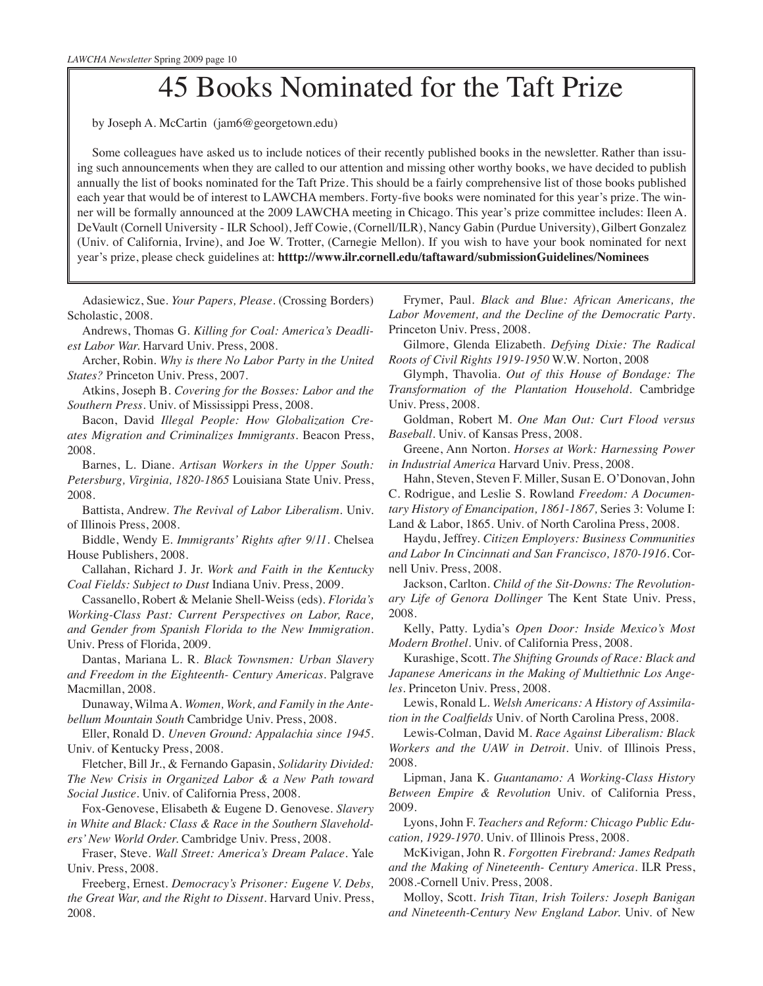# 45 Books Nominated for the Taft Prize

by Joseph A. McCartin (jam6@georgetown.edu)

Some colleagues have asked us to include notices of their recently published books in the newsletter. Rather than issuing such announcements when they are called to our attention and missing other worthy books, we have decided to publish annually the list of books nominated for the Taft Prize. This should be a fairly comprehensive list of those books published each year that would be of interest to LAWCHA members. Forty-five books were nominated for this year's prize. The winner will be formally announced at the 2009 LAWCHA meeting in Chicago. This year's prize committee includes: Ileen A. DeVault (Cornell University - ILR School), Jeff Cowie, (Cornell/ILR), Nancy Gabin (Purdue University), Gilbert Gonzalez (Univ. of California, Irvine), and Joe W. Trotter, (Carnegie Mellon). If you wish to have your book nominated for next year's prize, please check guidelines at: **htttp://www.ilr.cornell.edu/taftaward/submissionGuidelines/Nominees**

Adasiewicz, Sue. *Your Papers, Please*. (Crossing Borders) Scholastic, 2008.

Andrews, Thomas G. *Killing for Coal: America's Deadliest Labor War.* Harvard Univ. Press, 2008.

Archer, Robin. *Why is there No Labor Party in the United States?* Princeton Univ. Press, 2007.

Atkins, Joseph B. *Covering for the Bosses: Labor and the Southern Press.* Univ. of Mississippi Press, 2008.

Bacon, David *Illegal People: How Globalization Creates Migration and Criminalizes Immigrants.* Beacon Press, 2008.

Barnes, L. Diane. *Artisan Workers in the Upper South: Petersburg, Virginia, 1820-1865* Louisiana State Univ. Press, 2008.

Battista, Andrew. *The Revival of Labor Liberalism*. Univ. of Illinois Press, 2008.

Biddle, Wendy E. *Immigrants' Rights after 9/11*. Chelsea House Publishers, 2008.

Callahan, Richard J. Jr. *Work and Faith in the Kentucky Coal Fields: Subject to Dust* Indiana Univ. Press, 2009.

Cassanello, Robert & Melanie Shell-Weiss (eds). *Florida's Working-Class Past: Current Perspectives on Labor, Race, and Gender from Spanish Florida to the New Immigration*. Univ. Press of Florida, 2009.

Dantas, Mariana L. R. *Black Townsmen: Urban Slavery and Freedom in the Eighteenth- Century Americas.* Palgrave Macmillan, 2008.

Dunaway, Wilma A. *Women, Work, and Family in the Antebellum Mountain South* Cambridge Univ. Press, 2008.

Eller, Ronald D. *Uneven Ground: Appalachia since 1945*. Univ. of Kentucky Press, 2008.

Fletcher, Bill Jr., & Fernando Gapasin, *Solidarity Divided: The New Crisis in Organized Labor & a New Path toward Social Justice.* Univ. of California Press, 2008.

Fox-Genovese, Elisabeth & Eugene D. Genovese. *Slavery in White and Black: Class & Race in the Southern Slaveholders' New World Order.* Cambridge Univ. Press, 2008.

Fraser, Steve. *Wall Street: America's Dream Palace.* Yale Univ. Press, 2008.

Freeberg, Ernest. *Democracy's Prisoner: Eugene V. Debs, the Great War, and the Right to Dissent.* Harvard Univ. Press, 2008.

Frymer, Paul. *Black and Blue: African Americans, the Labor Movement, and the Decline of the Democratic Party*. Princeton Univ. Press, 2008.

Gilmore, Glenda Elizabeth. *Defying Dixie: The Radical Roots of Civil Rights 1919-1950* W.W. Norton, 2008

Glymph, Thavolia. *Out of this House of Bondage: The Transformation of the Plantation Household.* Cambridge Univ. Press, 2008.

Goldman, Robert M. *One Man Out: Curt Flood versus Baseball*. Univ. of Kansas Press, 2008.

Greene, Ann Norton. *Horses at Work: Harnessing Power in Industrial America* Harvard Univ. Press, 2008.

Hahn, Steven, Steven F. Miller, Susan E. O'Donovan, John C. Rodrigue, and Leslie S. Rowland *Freedom: A Documentary History of Emancipation, 1861-1867,* Series 3: Volume I: Land & Labor, 1865. Univ. of North Carolina Press, 2008.

Haydu, Jeffrey. *Citizen Employers: Business Communities and Labor In Cincinnati and San Francisco, 1870-1916.* Cornell Univ. Press, 2008.

Jackson, Carlton. *Child of the Sit-Downs: The Revolutionary Life of Genora Dollinger* The Kent State Univ. Press, 2008.

Kelly, Patty. Lydia's *Open Door: Inside Mexico's Most Modern Brothel.* Univ. of California Press, 2008.

Kurashige, Scott. *The Shifting Grounds of Race: Black and Japanese Americans in the Making of Multiethnic Los Angeles.* Princeton Univ. Press, 2008.

Lewis, Ronald L. *Welsh Americans: A History of Assimilation in the Coalfields* Univ. of North Carolina Press, 2008.

Lewis-Colman, David M. *Race Against Liberalism: Black Workers and the UAW in Detroit.* Univ. of Illinois Press, 2008.

Lipman, Jana K. *Guantanamo: A Working-Class History Between Empire & Revolution* Univ. of California Press, 2009.

Lyons, John F. *Teachers and Reform: Chicago Public Education, 1929-1970.* Univ. of Illinois Press, 2008.

McKivigan, John R. *Forgotten Firebrand: James Redpath and the Making of Nineteenth- Century America*. ILR Press, 2008.-Cornell Univ. Press, 2008.

Molloy, Scott. *Irish Titan, Irish Toilers: Joseph Banigan and Nineteenth-Century New England Labor.* Univ. of New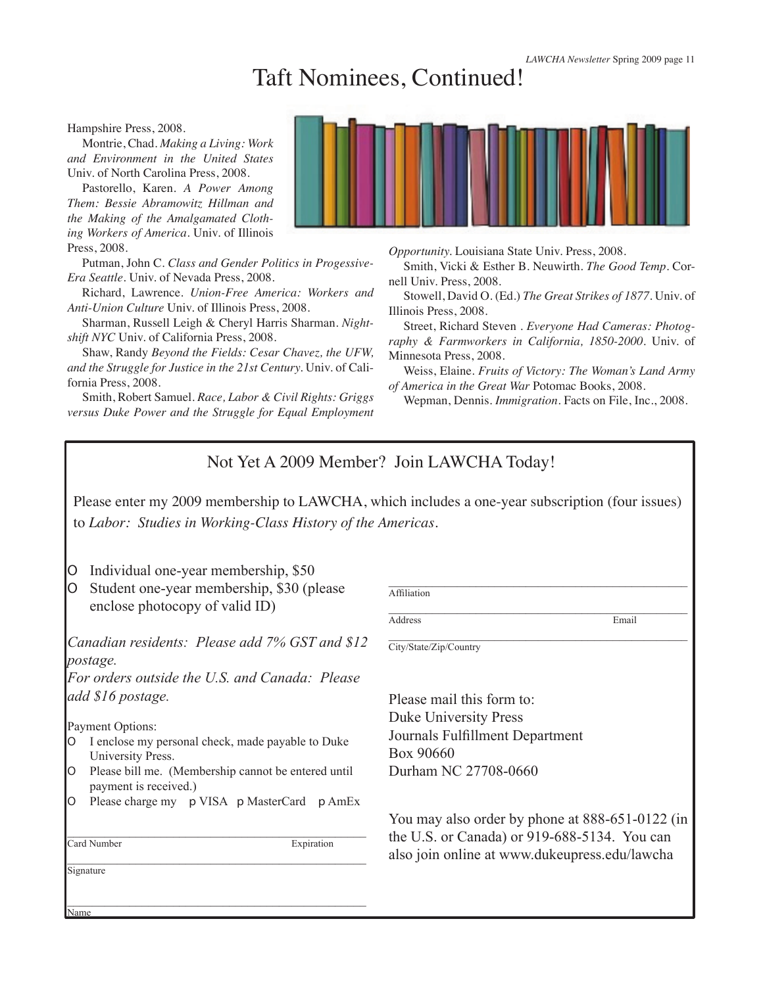## Taft Nominees, Continued!

Hampshire Press, 2008.

Montrie, Chad. *Making a Living: Work and Environment in the United States*  Univ. of North Carolina Press, 2008.

Pastorello, Karen. *A Power Among Them: Bessie Abramowitz Hillman and the Making of the Amalgamated Clothing Workers of America.* Univ. of Illinois Press, 2008.

Putman, John C. *Class and Gender Politics in Progessive-Era Seattle.* Univ. of Nevada Press, 2008.

Richard, Lawrence. *Union-Free America: Workers and Anti-Union Culture* Univ. of Illinois Press, 2008.

Sharman, Russell Leigh & Cheryl Harris Sharman. *Nightshift NYC* Univ. of California Press, 2008.

Shaw, Randy *Beyond the Fields: Cesar Chavez, the UFW, and the Struggle for Justice in the 21st Century.* Univ. of California Press, 2008.

Smith, Robert Samuel. *Race, Labor & Civil Rights: Griggs versus Duke Power and the Struggle for Equal Employment*  *Opportunity.* Louisiana State Univ. Press, 2008.

Smith, Vicki & Esther B. Neuwirth. *The Good Temp*. Cornell Univ. Press, 2008.

Stowell, David O. (Ed.) *The Great Strikes of 1877.* Univ. of Illinois Press, 2008.

Street, Richard Steven . *Everyone Had Cameras: Photography & Farmworkers in California, 1850-2000*. Univ. of Minnesota Press, 2008.

Weiss, Elaine. *Fruits of Victory: The Woman's Land Army of America in the Great War* Potomac Books, 2008.

Wepman, Dennis. *Immigration.* Facts on File, Inc., 2008.

\_\_\_\_\_\_\_\_\_\_\_\_\_\_\_\_\_\_\_\_\_\_\_\_\_\_\_\_\_\_\_\_\_\_\_\_\_\_\_\_\_\_\_\_\_\_\_\_

## Not Yet A 2009 Member? Join LAWCHA Today!

Please enter my 2009 membership to LAWCHA, which includes a one-year subscription (four issues) to *Labor: Studies in Working-Class History of the Americas.*

- ɶ Individual one-year membership, \$50
- ɶ Student one-year membership, \$30 (please enclose photocopy of valid ID)

*Canadian residents: Please add 7% GST and \$12 postage.*

*For orders outside the U.S. and Canada: Please add \$16 postage.*

Payment Options:

- ɶ I enclose my personal check, made payable to Duke University Press.
- ɶ Please bill me. (Membership cannot be entered until payment is received.)
- ɶ Please charge my p VISA p MasterCard p AmEx

 $\mathcal{L}_\text{max}$  and  $\mathcal{L}_\text{max}$  and  $\mathcal{L}_\text{max}$  and  $\mathcal{L}_\text{max}$  and  $\mathcal{L}_\text{max}$ 

\_\_\_\_\_\_\_\_\_\_\_\_\_\_\_\_\_\_\_\_\_\_\_\_\_\_\_\_\_\_\_\_\_\_\_\_\_\_\_\_\_\_\_\_\_\_\_\_

**Signature** 

Name

\_\_\_\_\_\_\_\_\_\_\_\_\_\_\_\_\_\_\_\_\_\_\_\_\_\_\_\_\_\_\_\_\_\_\_\_\_\_\_\_\_\_\_\_\_\_\_\_ Card Number Expiration

\_\_\_\_\_\_\_\_\_\_\_\_\_\_\_\_\_\_\_\_\_\_\_\_\_\_\_\_\_\_\_\_\_\_\_\_\_\_\_\_\_\_\_\_\_\_\_\_ Address Email

**Affiliation** 

\_\_\_\_\_\_\_\_\_\_\_\_\_\_\_\_\_\_\_\_\_\_\_\_\_\_\_\_\_\_\_\_\_\_\_\_\_\_\_\_\_\_\_\_\_\_\_\_ City/State/Zip/Country

Please mail this form to: Duke University Press Journals Fulfillment Department Box 90660 Durham NC 27708-0660

You may also order by phone at 888-651-0122 (in the U.S. or Canada) or 919-688-5134. You can also join online at www.dukeupress.edu/lawcha

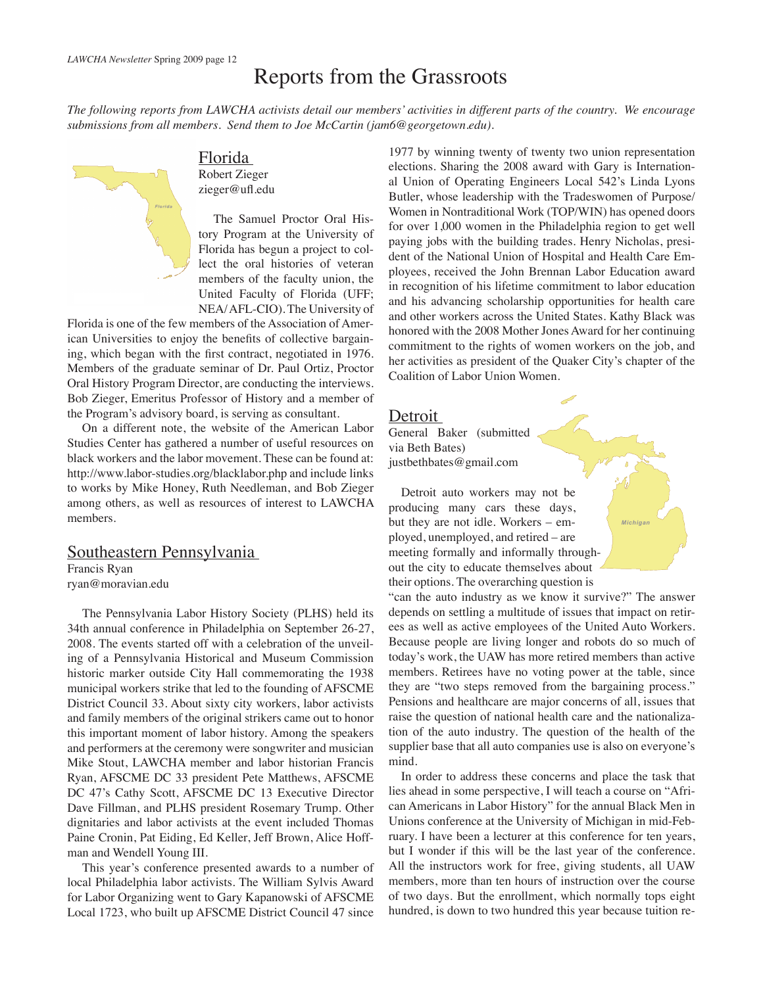## Reports from the Grassroots

*The following reports from LAWCHA activists detail our members' activities in different parts of the country. We encourage submissions from all members. Send them to Joe McCartin (jam6@georgetown.edu).*



Florida Robert Zieger zieger@ufl.edu

The Samuel Proctor Oral History Program at the University of Florida has begun a project to collect the oral histories of veteran members of the faculty union, the United Faculty of Florida (UFF; NEA/ AFL-CIO). The University of

Florida is one of the few members of the Association of American Universities to enjoy the benefits of collective bargaining, which began with the first contract, negotiated in 1976. Members of the graduate seminar of Dr. Paul Ortiz, Proctor Oral History Program Director, are conducting the interviews. Bob Zieger, Emeritus Professor of History and a member of the Program's advisory board, is serving as consultant.

On a different note, the website of the American Labor Studies Center has gathered a number of useful resources on black workers and the labor movement. These can be found at: http://www.labor-studies.org/blacklabor.php and include links to works by Mike Honey, Ruth Needleman, and Bob Zieger among others, as well as resources of interest to LAWCHA members.

## Southeastern Pennsylvania

Francis Ryan ryan@moravian.edu

The Pennsylvania Labor History Society (PLHS) held its 34th annual conference in Philadelphia on September 26-27, 2008. The events started off with a celebration of the unveiling of a Pennsylvania Historical and Museum Commission historic marker outside City Hall commemorating the 1938 municipal workers strike that led to the founding of AFSCME District Council 33. About sixty city workers, labor activists and family members of the original strikers came out to honor this important moment of labor history. Among the speakers and performers at the ceremony were songwriter and musician Mike Stout, LAWCHA member and labor historian Francis Ryan, AFSCME DC 33 president Pete Matthews, AFSCME DC 47's Cathy Scott, AFSCME DC 13 Executive Director Dave Fillman, and PLHS president Rosemary Trump. Other dignitaries and labor activists at the event included Thomas Paine Cronin, Pat Eiding, Ed Keller, Jeff Brown, Alice Hoffman and Wendell Young III.

This year's conference presented awards to a number of local Philadelphia labor activists. The William Sylvis Award for Labor Organizing went to Gary Kapanowski of AFSCME Local 1723, who built up AFSCME District Council 47 since

1977 by winning twenty of twenty two union representation elections. Sharing the 2008 award with Gary is International Union of Operating Engineers Local 542's Linda Lyons Butler, whose leadership with the Tradeswomen of Purpose/ Women in Nontraditional Work (TOP/WIN) has opened doors for over 1,000 women in the Philadelphia region to get well paying jobs with the building trades. Henry Nicholas, president of the National Union of Hospital and Health Care Employees, received the John Brennan Labor Education award in recognition of his lifetime commitment to labor education and his advancing scholarship opportunities for health care and other workers across the United States. Kathy Black was honored with the 2008 Mother Jones Award for her continuing commitment to the rights of women workers on the job, and her activities as president of the Quaker City's chapter of the Coalition of Labor Union Women.

### Detroit

General Baker (submitted via Beth Bates) justbethbates@gmail.com

Detroit auto workers may not be producing many cars these days, but they are not idle. Workers – employed, unemployed, and retired – are meeting formally and informally throughout the city to educate themselves about their options. The overarching question is

"can the auto industry as we know it survive?" The answer depends on settling a multitude of issues that impact on retirees as well as active employees of the United Auto Workers. Because people are living longer and robots do so much of today's work, the UAW has more retired members than active members. Retirees have no voting power at the table, since they are "two steps removed from the bargaining process." Pensions and healthcare are major concerns of all, issues that raise the question of national health care and the nationalization of the auto industry. The question of the health of the supplier base that all auto companies use is also on everyone's mind.

*Michigan*

In order to address these concerns and place the task that lies ahead in some perspective, I will teach a course on "African Americans in Labor History" for the annual Black Men in Unions conference at the University of Michigan in mid-February. I have been a lecturer at this conference for ten years, but I wonder if this will be the last year of the conference. All the instructors work for free, giving students, all UAW members, more than ten hours of instruction over the course of two days. But the enrollment, which normally tops eight hundred, is down to two hundred this year because tuition re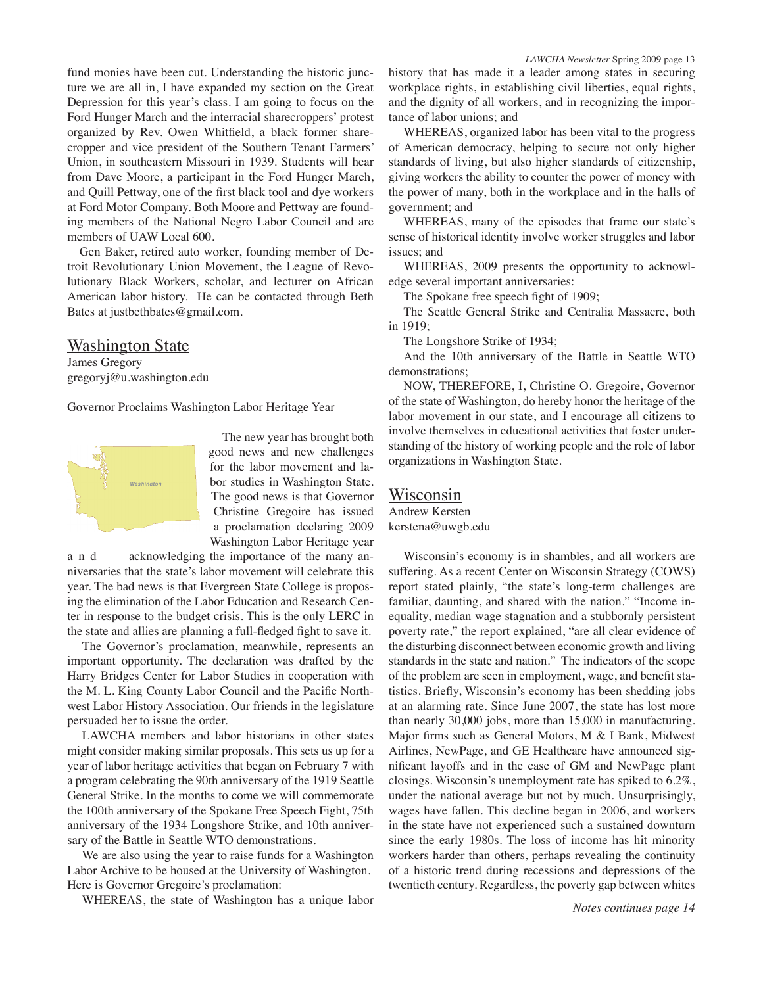fund monies have been cut. Understanding the historic juncture we are all in, I have expanded my section on the Great Depression for this year's class. I am going to focus on the Ford Hunger March and the interracial sharecroppers' protest organized by Rev. Owen Whitfield, a black former sharecropper and vice president of the Southern Tenant Farmers' Union, in southeastern Missouri in 1939. Students will hear from Dave Moore, a participant in the Ford Hunger March, and Quill Pettway, one of the first black tool and dye workers at Ford Motor Company. Both Moore and Pettway are founding members of the National Negro Labor Council and are members of UAW Local 600.

Gen Baker, retired auto worker, founding member of Detroit Revolutionary Union Movement, the League of Revolutionary Black Workers, scholar, and lecturer on African American labor history. He can be contacted through Beth Bates at justbethbates@gmail.com.

## Washington State

James Gregory gregoryj@u.washington.edu

Governor Proclaims Washington Labor Heritage Year



The new year has brought both good news and new challenges for the labor movement and labor studies in Washington State. The good news is that Governor Christine Gregoire has issued a proclamation declaring 2009 Washington Labor Heritage year

a n d acknowledging the importance of the many anniversaries that the state's labor movement will celebrate this year. The bad news is that Evergreen State College is proposing the elimination of the Labor Education and Research Center in response to the budget crisis. This is the only LERC in the state and allies are planning a full-fledged fight to save it.

The Governor's proclamation, meanwhile, represents an important opportunity. The declaration was drafted by the Harry Bridges Center for Labor Studies in cooperation with the M. L. King County Labor Council and the Pacific Northwest Labor History Association. Our friends in the legislature persuaded her to issue the order.

LAWCHA members and labor historians in other states might consider making similar proposals. This sets us up for a year of labor heritage activities that began on February 7 with a program celebrating the 90th anniversary of the 1919 Seattle General Strike. In the months to come we will commemorate the 100th anniversary of the Spokane Free Speech Fight, 75th anniversary of the 1934 Longshore Strike, and 10th anniversary of the Battle in Seattle WTO demonstrations.

We are also using the year to raise funds for a Washington Labor Archive to be housed at the University of Washington. Here is Governor Gregoire's proclamation:

WHEREAS, the state of Washington has a unique labor

WHEREAS, organized labor has been vital to the progress of American democracy, helping to secure not only higher standards of living, but also higher standards of citizenship, giving workers the ability to counter the power of money with the power of many, both in the workplace and in the halls of government; and

WHEREAS, many of the episodes that frame our state's sense of historical identity involve worker struggles and labor issues; and

WHEREAS, 2009 presents the opportunity to acknowledge several important anniversaries:

The Spokane free speech fight of 1909;

The Seattle General Strike and Centralia Massacre, both in 1919;

The Longshore Strike of 1934;

And the 10th anniversary of the Battle in Seattle WTO demonstrations;

NOW, THEREFORE, I, Christine O. Gregoire, Governor of the state of Washington, do hereby honor the heritage of the labor movement in our state, and I encourage all citizens to involve themselves in educational activities that foster understanding of the history of working people and the role of labor organizations in Washington State.

### Wisconsin

Andrew Kersten kerstena@uwgb.edu

Wisconsin's economy is in shambles, and all workers are suffering. As a recent Center on Wisconsin Strategy (COWS) report stated plainly, "the state's long-term challenges are familiar, daunting, and shared with the nation." "Income inequality, median wage stagnation and a stubbornly persistent poverty rate," the report explained, "are all clear evidence of the disturbing disconnect between economic growth and living standards in the state and nation." The indicators of the scope of the problem are seen in employment, wage, and benefit statistics. Briefly, Wisconsin's economy has been shedding jobs at an alarming rate. Since June 2007, the state has lost more than nearly 30,000 jobs, more than 15,000 in manufacturing. Major firms such as General Motors, M & I Bank, Midwest Airlines, NewPage, and GE Healthcare have announced significant layoffs and in the case of GM and NewPage plant closings. Wisconsin's unemployment rate has spiked to 6.2%, under the national average but not by much. Unsurprisingly, wages have fallen. This decline began in 2006, and workers in the state have not experienced such a sustained downturn since the early 1980s. The loss of income has hit minority workers harder than others, perhaps revealing the continuity of a historic trend during recessions and depressions of the twentieth century. Regardless, the poverty gap between whites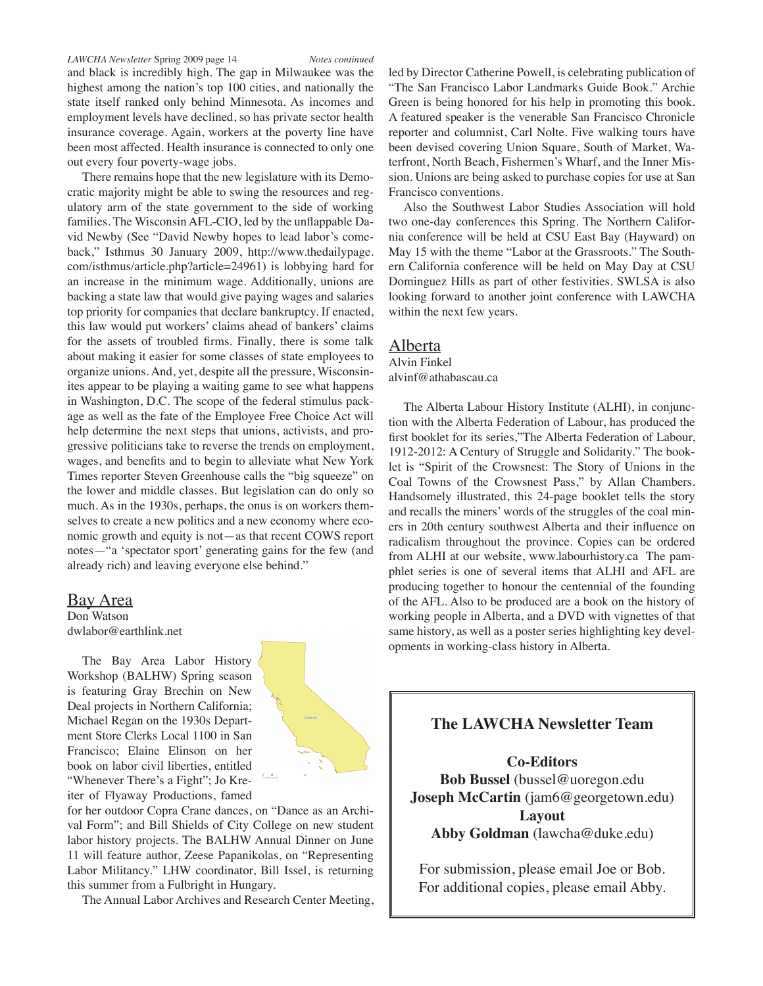#### *LAWCHA Newsletter* Spring 2009 page 14 *Notes continued*

and black is incredibly high. The gap in Milwaukee was the highest among the nation's top 100 cities, and nationally the state itself ranked only behind Minnesota. As incomes and employment levels have declined, so has private sector health insurance coverage. Again, workers at the poverty line have been most affected. Health insurance is connected to only one out every four poverty-wage jobs.

There remains hope that the new legislature with its Democratic majority might be able to swing the resources and regulatory arm of the state government to the side of working families. The Wisconsin AFL-CIO, led by the unflappable David Newby (See "David Newby hopes to lead labor's comeback," Isthmus 30 January 2009, http://www.thedailypage. com/isthmus/article.php?article=24961) is lobbying hard for an increase in the minimum wage. Additionally, unions are backing a state law that would give paying wages and salaries top priority for companies that declare bankruptcy. If enacted, this law would put workers' claims ahead of bankers' claims for the assets of troubled firms. Finally, there is some talk about making it easier for some classes of state employees to organize unions. And, yet, despite all the pressure, Wisconsinites appear to be playing a waiting game to see what happens in Washington, D.C. The scope of the federal stimulus package as well as the fate of the Employee Free Choice Act will help determine the next steps that unions, activists, and progressive politicians take to reverse the trends on employment, wages, and benefits and to begin to alleviate what New York Times reporter Steven Greenhouse calls the "big squeeze" on the lower and middle classes. But legislation can do only so much. As in the 1930s, perhaps, the onus is on workers themselves to create a new politics and a new economy where economic growth and equity is not—as that recent COWS report notes—"a 'spectator sport' generating gains for the few (and already rich) and leaving everyone else behind."

#### Bay Area

Don Watson dwlabor@earthlink.net

The Bay Area Labor History Workshop (BALHW) Spring season is featuring Gray Brechin on New Deal projects in Northern California; Michael Regan on the 1930s Department Store Clerks Local 1100 in San Francisco; Elaine Elinson on her book on labor civil liberties, entitled "Whenever There's a Fight"; Jo Kreiter of Flyaway Productions, famed



for her outdoor Copra Crane dances, on "Dance as an Archival Form"; and Bill Shields of City College on new student labor history projects. The BALHW Annual Dinner on June 11 will feature author, Zeese Papanikolas, on "Representing Labor Militancy." LHW coordinator, Bill Issel, is returning this summer from a Fulbright in Hungary.

The Annual Labor Archives and Research Center Meeting,

led by Director Catherine Powell, is celebrating publication of "The San Francisco Labor Landmarks Guide Book." Archie Green is being honored for his help in promoting this book. A featured speaker is the venerable San Francisco Chronicle reporter and columnist, Carl Nolte. Five walking tours have been devised covering Union Square, South of Market, Waterfront, North Beach, Fishermen's Wharf, and the Inner Mission. Unions are being asked to purchase copies for use at San Francisco conventions.

Also the Southwest Labor Studies Association will hold two one-day conferences this Spring. The Northern California conference will be held at CSU East Bay (Hayward) on May 15 with the theme "Labor at the Grassroots." The Southern California conference will be held on May Day at CSU Dominguez Hills as part of other festivities. SWLSA is also looking forward to another joint conference with LAWCHA within the next few years.

#### Alberta

Alvin Finkel alvinf@athabascau.ca

The Alberta Labour History Institute (ALHI), in conjunction with the Alberta Federation of Labour, has produced the first booklet for its series,"The Alberta Federation of Labour, 1912-2012: A Century of Struggle and Solidarity." The booklet is "Spirit of the Crowsnest: The Story of Unions in the Coal Towns of the Crowsnest Pass," by Allan Chambers. Handsomely illustrated, this 24-page booklet tells the story and recalls the miners' words of the struggles of the coal miners in 20th century southwest Alberta and their influence on radicalism throughout the province. Copies can be ordered from ALHI at our website, www.labourhistory.ca The pamphlet series is one of several items that ALHI and AFL are producing together to honour the centennial of the founding of the AFL. Also to be produced are a book on the history of working people in Alberta, and a DVD with vignettes of that same history, as well as a poster series highlighting key developments in working-class history in Alberta.

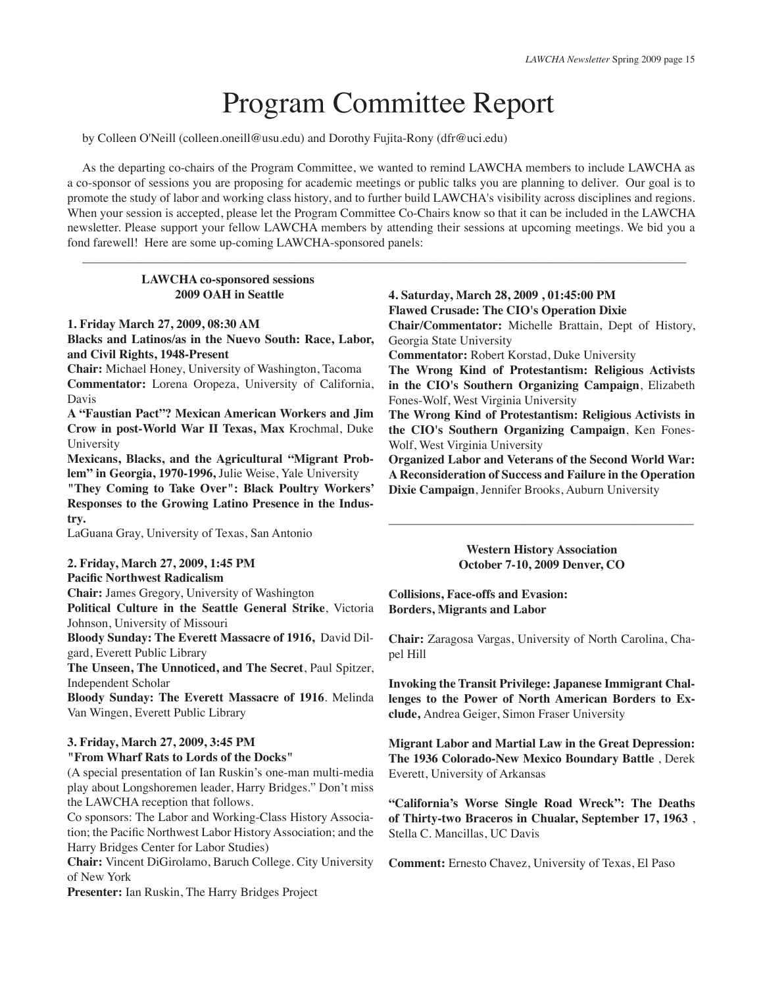# Program Committee Report

by Colleen O'Neill (colleen.oneill@usu.edu) and Dorothy Fujita-Rony (dfr@uci.edu)

As the departing co-chairs of the Program Committee, we wanted to remind LAWCHA members to include LAWCHA as a co-sponsor of sessions you are proposing for academic meetings or public talks you are planning to deliver. Our goal is to promote the study of labor and working class history, and to further build LAWCHA's visibility across disciplines and regions. When your session is accepted, please let the Program Committee Co-Chairs know so that it can be included in the LAWCHA newsletter. Please support your fellow LAWCHA members by attending their sessions at upcoming meetings. We bid you a fond farewell! Here are some up-coming LAWCHA-sponsored panels:

 $\_$  ,  $\_$  ,  $\_$  ,  $\_$  ,  $\_$  ,  $\_$  ,  $\_$  ,  $\_$  ,  $\_$  ,  $\_$  ,  $\_$  ,  $\_$  ,  $\_$  ,  $\_$  ,  $\_$  ,  $\_$  ,  $\_$  ,  $\_$  ,  $\_$  ,  $\_$  ,  $\_$  ,  $\_$  ,  $\_$  ,  $\_$  ,  $\_$  ,  $\_$  ,  $\_$  ,  $\_$  ,  $\_$  ,  $\_$  ,  $\_$  ,  $\_$  ,  $\_$  ,  $\_$  ,  $\_$  ,  $\_$  ,  $\_$  ,

### **LAWCHA co-sponsored sessions 2009 OAH in Seattle**

#### **1. Friday March 27, 2009, 08:30 AM**

**Blacks and Latinos/as in the Nuevo South: Race, Labor, and Civil Rights, 1948-Present** 

**Chair:** Michael Honey, University of Washington, Tacoma

**Commentator:** Lorena Oropeza, University of California, Davis

**A "Faustian Pact"? Mexican American Workers and Jim Crow in post-World War II Texas, Max** Krochmal, Duke University

**Mexicans, Blacks, and the Agricultural "Migrant Problem" in Georgia, 1970-1996,** Julie Weise, Yale University

**"They Coming to Take Over": Black Poultry Workers' Responses to the Growing Latino Presence in the Industry.**

LaGuana Gray, University of Texas, San Antonio

## **2. Friday, March 27, 2009, 1:45 PM**

**Pacific Northwest Radicalism** 

**Chair:** James Gregory, University of Washington

**Political Culture in the Seattle General Strike**, Victoria Johnson, University of Missouri

**Bloody Sunday: The Everett Massacre of 1916,** David Dilgard, Everett Public Library

**The Unseen, The Unnoticed, and The Secret**, Paul Spitzer, Independent Scholar

**Bloody Sunday: The Everett Massacre of 1916**. Melinda Van Wingen, Everett Public Library

### **3. Friday, March 27, 2009, 3:45 PM**

#### **"From Wharf Rats to Lords of the Docks"**

(A special presentation of Ian Ruskin's one-man multi-media play about Longshoremen leader, Harry Bridges." Don't miss the LAWCHA reception that follows.

Co sponsors: The Labor and Working-Class History Association; the Pacific Northwest Labor History Association; and the Harry Bridges Center for Labor Studies)

**Chair:** Vincent DiGirolamo, Baruch College. City University of New York

**Presenter:** Ian Ruskin, The Harry Bridges Project

## **4. Saturday, March 28, 2009 , 01:45:00 PM Flawed Crusade: The CIO's Operation Dixie**

**Chair/Commentator:** Michelle Brattain, Dept of History, Georgia State University

**Commentator:** Robert Korstad, Duke University

**The Wrong Kind of Protestantism: Religious Activists in the CIO's Southern Organizing Campaign**, Elizabeth Fones-Wolf, West Virginia University

**The Wrong Kind of Protestantism: Religious Activists in the CIO's Southern Organizing Campaign**, Ken Fones-Wolf, West Virginia University

**Organized Labor and Veterans of the Second World War: A Reconsideration of Success and Failure in the Operation Dixie Campaign**, Jennifer Brooks, Auburn University

> **Western History Association October 7-10, 2009 Denver, CO**

\_\_\_\_\_\_\_\_\_\_\_\_\_\_\_\_\_\_\_\_\_\_\_\_\_\_\_\_\_\_\_\_\_\_\_\_\_\_\_\_\_\_\_\_\_\_\_\_\_

**Collisions, Face-offs and Evasion: Borders, Migrants and Labor** 

**Chair:** Zaragosa Vargas, University of North Carolina, Chapel Hill

**Invoking the Transit Privilege: Japanese Immigrant Challenges to the Power of North American Borders to Exclude,** Andrea Geiger, Simon Fraser University

**Migrant Labor and Martial Law in the Great Depression: The 1936 Colorado-New Mexico Boundary Battle** , Derek Everett, University of Arkansas

**"California's Worse Single Road Wreck": The Deaths of Thirty-two Braceros in Chualar, September 17, 1963** , Stella C. Mancillas, UC Davis

**Comment:** Ernesto Chavez, University of Texas, El Paso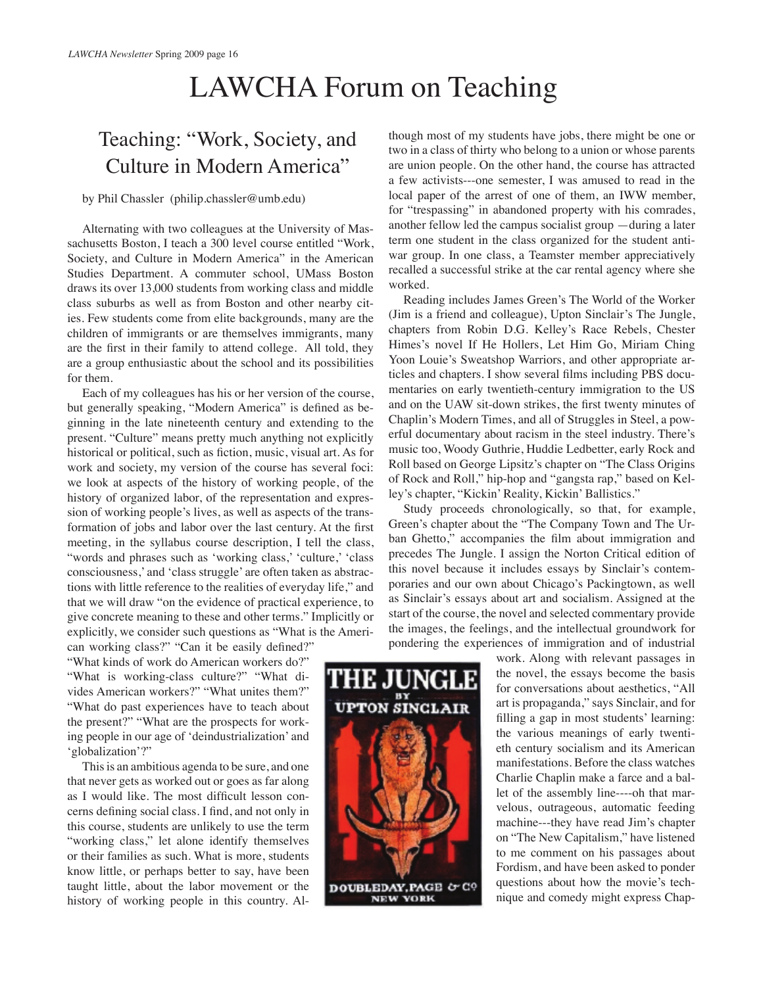# LAWCHA Forum on Teaching

# Teaching: "Work, Society, and Culture in Modern America"

### by Phil Chassler (philip.chassler@umb.edu)

Alternating with two colleagues at the University of Massachusetts Boston, I teach a 300 level course entitled "Work, Society, and Culture in Modern America" in the American Studies Department. A commuter school, UMass Boston draws its over 13,000 students from working class and middle class suburbs as well as from Boston and other nearby cities. Few students come from elite backgrounds, many are the children of immigrants or are themselves immigrants, many are the first in their family to attend college. All told, they are a group enthusiastic about the school and its possibilities for them.

Each of my colleagues has his or her version of the course, but generally speaking, "Modern America" is defined as beginning in the late nineteenth century and extending to the present. "Culture" means pretty much anything not explicitly historical or political, such as fiction, music, visual art. As for work and society, my version of the course has several foci: we look at aspects of the history of working people, of the history of organized labor, of the representation and expression of working people's lives, as well as aspects of the transformation of jobs and labor over the last century. At the first meeting, in the syllabus course description, I tell the class, "words and phrases such as 'working class,' 'culture,' 'class consciousness,' and 'class struggle' are often taken as abstractions with little reference to the realities of everyday life," and that we will draw "on the evidence of practical experience, to give concrete meaning to these and other terms." Implicitly or explicitly, we consider such questions as "What is the American working class?" "Can it be easily defined?"

"What kinds of work do American workers do?" "What is working-class culture?" "What divides American workers?" "What unites them?" "What do past experiences have to teach about the present?" "What are the prospects for working people in our age of 'deindustrialization' and 'globalization'?"

This is an ambitious agenda to be sure, and one that never gets as worked out or goes as far along as I would like. The most difficult lesson concerns defining social class. I find, and not only in this course, students are unlikely to use the term "working class," let alone identify themselves or their families as such. What is more, students know little, or perhaps better to say, have been taught little, about the labor movement or the history of working people in this country. Although most of my students have jobs, there might be one or two in a class of thirty who belong to a union or whose parents are union people. On the other hand, the course has attracted a few activists---one semester, I was amused to read in the local paper of the arrest of one of them, an IWW member, for "trespassing" in abandoned property with his comrades, another fellow led the campus socialist group —during a later term one student in the class organized for the student antiwar group. In one class, a Teamster member appreciatively recalled a successful strike at the car rental agency where she worked.

Reading includes James Green's The World of the Worker (Jim is a friend and colleague), Upton Sinclair's The Jungle, chapters from Robin D.G. Kelley's Race Rebels, Chester Himes's novel If He Hollers, Let Him Go, Miriam Ching Yoon Louie's Sweatshop Warriors, and other appropriate articles and chapters. I show several films including PBS documentaries on early twentieth-century immigration to the US and on the UAW sit-down strikes, the first twenty minutes of Chaplin's Modern Times, and all of Struggles in Steel, a powerful documentary about racism in the steel industry. There's music too, Woody Guthrie, Huddie Ledbetter, early Rock and Roll based on George Lipsitz's chapter on "The Class Origins of Rock and Roll," hip-hop and "gangsta rap," based on Kelley's chapter, "Kickin' Reality, Kickin' Ballistics."

Study proceeds chronologically, so that, for example, Green's chapter about the "The Company Town and The Urban Ghetto," accompanies the film about immigration and precedes The Jungle. I assign the Norton Critical edition of this novel because it includes essays by Sinclair's contemporaries and our own about Chicago's Packingtown, as well as Sinclair's essays about art and socialism. Assigned at the start of the course, the novel and selected commentary provide the images, the feelings, and the intellectual groundwork for pondering the experiences of immigration and of industrial

> work. Along with relevant passages in the novel, the essays become the basis for conversations about aesthetics, "All art is propaganda," says Sinclair, and for filling a gap in most students' learning: the various meanings of early twentieth century socialism and its American manifestations. Before the class watches Charlie Chaplin make a farce and a ballet of the assembly line----oh that marvelous, outrageous, automatic feeding machine---they have read Jim's chapter on "The New Capitalism," have listened to me comment on his passages about Fordism, and have been asked to ponder questions about how the movie's technique and comedy might express Chap-

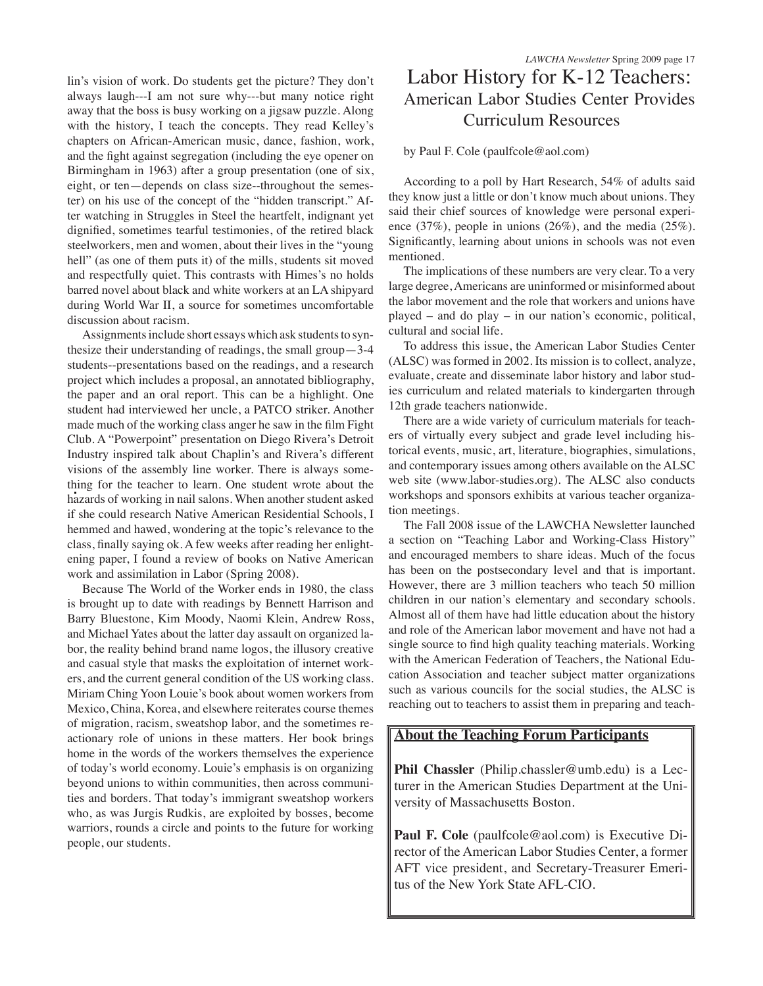lin's vision of work. Do students get the picture? They don't always laugh---I am not sure why---but many notice right away that the boss is busy working on a jigsaw puzzle. Along with the history, I teach the concepts. They read Kelley's chapters on African-American music, dance, fashion, work, and the fight against segregation (including the eye opener on Birmingham in 1963) after a group presentation (one of six, eight, or ten—depends on class size--throughout the semester) on his use of the concept of the "hidden transcript." After watching in Struggles in Steel the heartfelt, indignant yet dignified, sometimes tearful testimonies, of the retired black steelworkers, men and women, about their lives in the "young hell" (as one of them puts it) of the mills, students sit moved and respectfully quiet. This contrasts with Himes's no holds barred novel about black and white workers at an LA shipyard during World War II, a source for sometimes uncomfortable discussion about racism.

Assignments include short essays which ask students to synthesize their understanding of readings, the small group—3-4 students--presentations based on the readings, and a research project which includes a proposal, an annotated bibliography, the paper and an oral report. This can be a highlight. One student had interviewed her uncle, a PATCO striker. Another made much of the working class anger he saw in the film Fight Club. A "Powerpoint" presentation on Diego Rivera's Detroit Industry inspired talk about Chaplin's and Rivera's different visions of the assembly line worker. There is always something for the teacher to learn. One student wrote about the hazards of working in nail salons. When another student asked if she could research Native American Residential Schools, I hemmed and hawed, wondering at the topic's relevance to the class, finally saying ok. A few weeks after reading her enlightening paper, I found a review of books on Native American work and assimilation in Labor (Spring 2008).

Because The World of the Worker ends in 1980, the class is brought up to date with readings by Bennett Harrison and Barry Bluestone, Kim Moody, Naomi Klein, Andrew Ross, and Michael Yates about the latter day assault on organized labor, the reality behind brand name logos, the illusory creative and casual style that masks the exploitation of internet workers, and the current general condition of the US working class. Miriam Ching Yoon Louie's book about women workers from Mexico, China, Korea, and elsewhere reiterates course themes of migration, racism, sweatshop labor, and the sometimes reactionary role of unions in these matters. Her book brings home in the words of the workers themselves the experience of today's world economy. Louie's emphasis is on organizing beyond unions to within communities, then across communities and borders. That today's immigrant sweatshop workers who, as was Jurgis Rudkis, are exploited by bosses, become warriors, rounds a circle and points to the future for working people, our students.

## Labor History for K-12 Teachers: American Labor Studies Center Provides Curriculum Resources

#### by Paul F. Cole (paulfcole@aol.com)

According to a poll by Hart Research, 54% of adults said they know just a little or don't know much about unions. They said their chief sources of knowledge were personal experience (37%), people in unions (26%), and the media (25%). Significantly, learning about unions in schools was not even mentioned.

The implications of these numbers are very clear. To a very large degree, Americans are uninformed or misinformed about the labor movement and the role that workers and unions have played – and do play – in our nation's economic, political, cultural and social life.

To address this issue, the American Labor Studies Center (ALSC) was formed in 2002. Its mission is to collect, analyze, evaluate, create and disseminate labor history and labor studies curriculum and related materials to kindergarten through 12th grade teachers nationwide.

There are a wide variety of curriculum materials for teachers of virtually every subject and grade level including historical events, music, art, literature, biographies, simulations, and contemporary issues among others available on the ALSC web site (www.labor-studies.org). The ALSC also conducts workshops and sponsors exhibits at various teacher organization meetings.

The Fall 2008 issue of the LAWCHA Newsletter launched a section on "Teaching Labor and Working-Class History" and encouraged members to share ideas. Much of the focus has been on the postsecondary level and that is important. However, there are 3 million teachers who teach 50 million children in our nation's elementary and secondary schools. Almost all of them have had little education about the history and role of the American labor movement and have not had a single source to find high quality teaching materials. Working with the American Federation of Teachers, the National Education Association and teacher subject matter organizations such as various councils for the social studies, the ALSC is reaching out to teachers to assist them in preparing and teach-

### **About the Teaching Forum Participants**

**Phil Chassler** (Philip.chassler@umb.edu) is a Lecturer in the American Studies Department at the University of Massachusetts Boston.

Paul F. Cole (paulfcole@aol.com) is Executive Director of the American Labor Studies Center, a former AFT vice president, and Secretary-Treasurer Emeritus of the New York State AFL-CIO.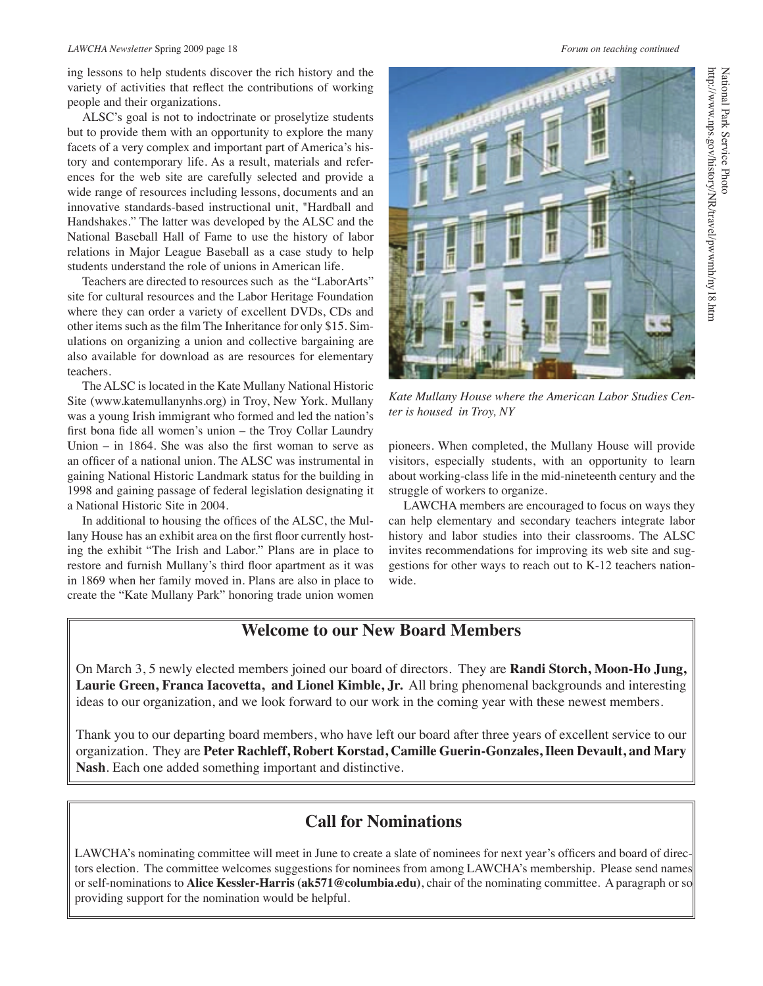#### *LAWCHA Newsletter* Spring 2009 page 18 *Forum on teaching continued*

ing lessons to help students discover the rich history and the variety of activities that reflect the contributions of working people and their organizations.

ALSC's goal is not to indoctrinate or proselytize students but to provide them with an opportunity to explore the many facets of a very complex and important part of America's history and contemporary life. As a result, materials and references for the web site are carefully selected and provide a wide range of resources including lessons, documents and an innovative standards-based instructional unit, "Hardball and Handshakes." The latter was developed by the ALSC and the National Baseball Hall of Fame to use the history of labor relations in Major League Baseball as a case study to help students understand the role of unions in American life.

Teachers are directed to resources such as the "LaborArts" site for cultural resources and the Labor Heritage Foundation where they can order a variety of excellent DVDs, CDs and other items such as the film The Inheritance for only \$15. Simulations on organizing a union and collective bargaining are also available for download as are resources for elementary teachers.

The ALSC is located in the Kate Mullany National Historic Site (www.katemullanynhs.org) in Troy, New York. Mullany was a young Irish immigrant who formed and led the nation's first bona fide all women's union – the Troy Collar Laundry Union – in 1864. She was also the first woman to serve as an officer of a national union. The ALSC was instrumental in gaining National Historic Landmark status for the building in 1998 and gaining passage of federal legislation designating it a National Historic Site in 2004.

In additional to housing the offices of the ALSC, the Mullany House has an exhibit area on the first floor currently hosting the exhibit "The Irish and Labor." Plans are in place to restore and furnish Mullany's third floor apartment as it was in 1869 when her family moved in. Plans are also in place to create the "Kate Mullany Park" honoring trade union women

*Kate Mullany House where the American Labor Studies Center is housed in Troy, NY*

pioneers. When completed, the Mullany House will provide visitors, especially students, with an opportunity to learn about working-class life in the mid-nineteenth century and the struggle of workers to organize.

LAWCHA members are encouraged to focus on ways they can help elementary and secondary teachers integrate labor history and labor studies into their classrooms. The ALSC invites recommendations for improving its web site and suggestions for other ways to reach out to K-12 teachers nationwide.

## **Welcome to our New Board Members**

On March 3, 5 newly elected members joined our board of directors. They are **Randi Storch, Moon-Ho Jung, Laurie Green, Franca Iacovetta, and Lionel Kimble, Jr.** All bring phenomenal backgrounds and interesting ideas to our organization, and we look forward to our work in the coming year with these newest members.

Thank you to our departing board members, who have left our board after three years of excellent service to our organization. They are **Peter Rachleff, Robert Korstad, Camille Guerin-Gonzales, Ileen Devault, and Mary Nash**. Each one added something important and distinctive.

## **Call for Nominations**

LAWCHA's nominating committee will meet in June to create a slate of nominees for next year's officers and board of directors election. The committee welcomes suggestions for nominees from among LAWCHA's membership. Please send names or self-nominations to **Alice Kessler-Harris (ak571@columbia.edu)**, chair of the nominating committee. A paragraph or so providing support for the nomination would be helpful.

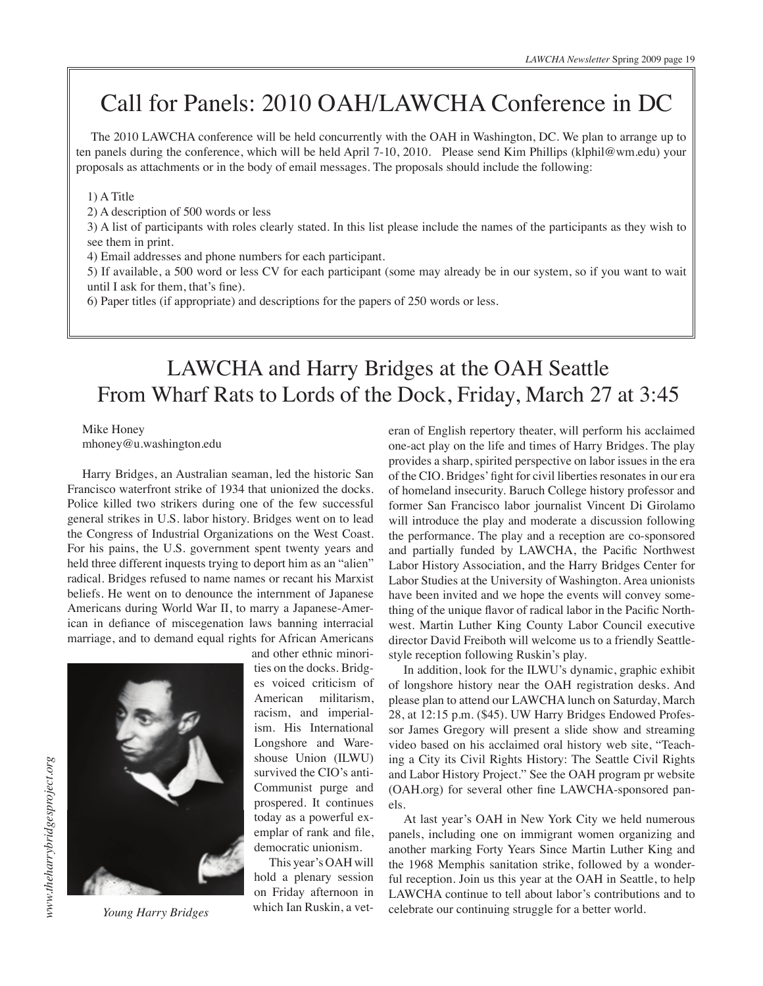# Call for Panels: 2010 OAH/LAWCHA Conference in DC

The 2010 LAWCHA conference will be held concurrently with the OAH in Washington, DC. We plan to arrange up to ten panels during the conference, which will be held April 7-10, 2010. Please send Kim Phillips (klphil@wm.edu) your proposals as attachments or in the body of email messages. The proposals should include the following:

#### 1) A Title

2) A description of 500 words or less

3) A list of participants with roles clearly stated. In this list please include the names of the participants as they wish to see them in print.

4) Email addresses and phone numbers for each participant.

5) If available, a 500 word or less CV for each participant (some may already be in our system, so if you want to wait until I ask for them, that's fine).

6) Paper titles (if appropriate) and descriptions for the papers of 250 words or less.

## LAWCHA and Harry Bridges at the OAH Seattle From Wharf Rats to Lords of the Dock, Friday, March 27 at 3:45

Mike Honey mhoney@u.washington.edu

Harry Bridges, an Australian seaman, led the historic San Francisco waterfront strike of 1934 that unionized the docks. Police killed two strikers during one of the few successful general strikes in U.S. labor history. Bridges went on to lead the Congress of Industrial Organizations on the West Coast. For his pains, the U.S. government spent twenty years and held three different inquests trying to deport him as an "alien" radical. Bridges refused to name names or recant his Marxist beliefs. He went on to denounce the internment of Japanese Americans during World War II, to marry a Japanese-American in defiance of miscegenation laws banning interracial marriage, and to demand equal rights for African Americans and other ethnic minori-



*Young Harry Bridges*

ties on the docks. Bridges voiced criticism of American militarism, racism, and imperialism. His International Longshore and Wareshouse Union (ILWU) survived the CIO's anti-Communist purge and prospered. It continues today as a powerful exemplar of rank and file, democratic unionism.

This year's OAH will hold a plenary session on Friday afternoon in which Ian Ruskin, a veteran of English repertory theater, will perform his acclaimed one-act play on the life and times of Harry Bridges. The play provides a sharp, spirited perspective on labor issues in the era of the CIO. Bridges' fight for civil liberties resonates in our era of homeland insecurity. Baruch College history professor and former San Francisco labor journalist Vincent Di Girolamo will introduce the play and moderate a discussion following the performance. The play and a reception are co-sponsored and partially funded by LAWCHA, the Pacific Northwest Labor History Association, and the Harry Bridges Center for Labor Studies at the University of Washington. Area unionists have been invited and we hope the events will convey something of the unique flavor of radical labor in the Pacific Northwest. Martin Luther King County Labor Council executive director David Freiboth will welcome us to a friendly Seattlestyle reception following Ruskin's play.

In addition, look for the ILWU's dynamic, graphic exhibit of longshore history near the OAH registration desks. And please plan to attend our LAWCHA lunch on Saturday, March 28, at 12:15 p.m. (\$45). UW Harry Bridges Endowed Professor James Gregory will present a slide show and streaming video based on his acclaimed oral history web site, "Teaching a City its Civil Rights History: The Seattle Civil Rights and Labor History Project." See the OAH program pr website (OAH.org) for several other fine LAWCHA-sponsored panels.

At last year's OAH in New York City we held numerous panels, including one on immigrant women organizing and another marking Forty Years Since Martin Luther King and the 1968 Memphis sanitation strike, followed by a wonderful reception. Join us this year at the OAH in Seattle, to help LAWCHA continue to tell about labor's contributions and to celebrate our continuing struggle for a better world.